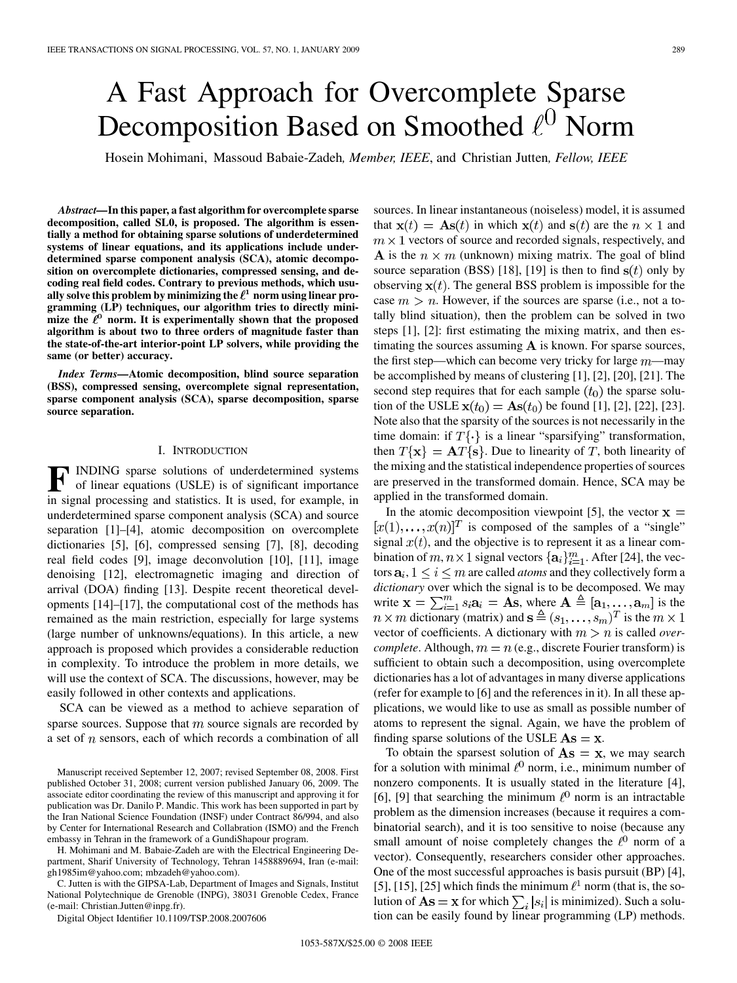# A Fast Approach for Overcomplete Sparse Decomposition Based on Smoothed  $\ell^0$  Norm

Hosein Mohimani, Massoud Babaie-Zadeh*, Member, IEEE*, and Christian Jutten*, Fellow, IEEE*

*Abstract—***In this paper, a fast algorithm for overcomplete sparse decomposition, called SL0, is proposed. The algorithm is essentially a method for obtaining sparse solutions of underdetermined systems of linear equations, and its applications include underdetermined sparse component analysis (SCA), atomic decomposition on overcomplete dictionaries, compressed sensing, and decoding real field codes. Contrary to previous methods, which usu**ally solve this problem by minimizing the  $\ell^1$  norm using linear pro**gramming (LP) techniques, our algorithm tries to directly mini**mize the  $\ell^0$  norm. It is experimentally shown that the proposed **algorithm is about two to three orders of magnitude faster than the state-of-the-art interior-point LP solvers, while providing the same (or better) accuracy.**

*Index Terms—***Atomic decomposition, blind source separation (BSS), compressed sensing, overcomplete signal representation, sparse component analysis (SCA), sparse decomposition, sparse source separation.**

## I. INTRODUCTION

**F** INDING sparse solutions of underdetermined systems of linear equations (USLE) is of significant importance in signal processing and statistics. It is used, for example, in underdetermined sparse component analysis (SCA) and source separation [1]–[4], atomic decomposition on overcomplete dictionaries [5], [6], compressed sensing [7], [8], decoding real field codes [9], image deconvolution [10], [11], image denoising [12], electromagnetic imaging and direction of arrival (DOA) finding [13]. Despite recent theoretical developments [14]–[17], the computational cost of the methods has remained as the main restriction, especially for large systems (large number of unknowns/equations). In this article, a new approach is proposed which provides a considerable reduction in complexity. To introduce the problem in more details, we will use the context of SCA. The discussions, however, may be easily followed in other contexts and applications.

SCA can be viewed as a method to achieve separation of sparse sources. Suppose that  $m$  source signals are recorded by a set of  $n$  sensors, each of which records a combination of all

H. Mohimani and M. Babaie-Zadeh are with the Electrical Engineering Department, Sharif University of Technology, Tehran 1458889694, Iran (e-mail: gh1985im@yahoo.com; mbzadeh@yahoo.com).

C. Jutten is with the GIPSA-Lab, Department of Images and Signals, Institut National Polytechnique de Grenoble (INPG), 38031 Grenoble Cedex, France (e-mail: Christian.Jutten@inpg.fr).

Digital Object Identifier 10.1109/TSP.2008.2007606

sources. In linear instantaneous (noiseless) model, it is assumed that  $\mathbf{x}(t) = \mathbf{As}(t)$  in which  $\mathbf{x}(t)$  and  $\mathbf{s}(t)$  are the  $n \times 1$  and  $m \times 1$  vectors of source and recorded signals, respectively, and A is the  $n \times m$  (unknown) mixing matrix. The goal of blind source separation (BSS) [18], [19] is then to find  $s(t)$  only by observing  $\mathbf{x}(t)$ . The general BSS problem is impossible for the case  $m > n$ . However, if the sources are sparse (i.e., not a totally blind situation), then the problem can be solved in two steps [1], [2]: first estimating the mixing matrix, and then estimating the sources assuming  $A$  is known. For sparse sources, the first step—which can become very tricky for large  $m$ —may be accomplished by means of clustering [1], [2], [20], [21]. The second step requires that for each sample  $(t_0)$  the sparse solution of the USLE  $\mathbf{x}(t_0) = \mathbf{A}\mathbf{s}(t_0)$  be found [1], [2], [22], [23]. Note also that the sparsity of the sources is not necessarily in the time domain: if  $T\{\cdot\}$  is a linear "sparsifying" transformation, then  $T\{x\} = AT\{s\}$ . Due to linearity of T, both linearity of the mixing and the statistical independence properties of sources are preserved in the transformed domain. Hence, SCA may be applied in the transformed domain.

In the atomic decomposition viewpoint [5], the vector  $x =$  $[x(1),...,x(n)]^T$  is composed of the samples of a "single" signal  $x(t)$ , and the objective is to represent it as a linear combination of  $m, n \times 1$  signal vectors  $\{a_i\}_{i=1}^m$ . After [24], the vectors  $a_i$ ,  $1 \le i \le m$  are called *atoms* and they collectively form a *dictionary* over which the signal is to be decomposed. We may write  $\mathbf{x} = \sum_{i=1}^{m} s_i \mathbf{a}_i = \mathbf{A}\mathbf{s}$ , where  $\mathbf{A} \triangleq [\mathbf{a}_1, \dots, \mathbf{a}_m]$  is the dictionary (matrix) and  $\mathbf{s} \triangleq (s_1, \dots, s_m)^T$  is the vector of coefficients. A dictionary with  $m > n$  is called *overcomplete.* Although,  $m = n$  (e.g., discrete Fourier transform) is sufficient to obtain such a decomposition, using overcomplete dictionaries has a lot of advantages in many diverse applications (refer for example to [6] and the references in it). In all these applications, we would like to use as small as possible number of atoms to represent the signal. Again, we have the problem of finding sparse solutions of the USLE  $\mathbf{A}\mathbf{s} = \mathbf{x}$ .

To obtain the sparsest solution of  $\mathbf{As} = \mathbf{x}$ , we may search for a solution with minimal  $\ell^0$  norm, i.e., minimum number of nonzero components. It is usually stated in the literature [4], [6], [9] that searching the minimum  $\ell^0$  norm is an intractable problem as the dimension increases (because it requires a combinatorial search), and it is too sensitive to noise (because any small amount of noise completely changes the  $\ell^0$  norm of a vector). Consequently, researchers consider other approaches. One of the most successful approaches is basis pursuit (BP) [4], [5], [15], [25] which finds the minimum  $\ell^1$  norm (that is, the solution of  $\mathbf{A}\mathbf{s} = \mathbf{x}$  for which  $\sum_i |s_i|$  is minimized). Such a solution can be easily found by linear programming (LP) methods.

Manuscript received September 12, 2007; revised September 08, 2008. First published October 31, 2008; current version published January 06, 2009. The associate editor coordinating the review of this manuscript and approving it for publication was Dr. Danilo P. Mandic. This work has been supported in part by the Iran National Science Foundation (INSF) under Contract 86/994, and also by Center for International Research and Collabration (ISMO) and the French embassy in Tehran in the framework of a GundiShapour program.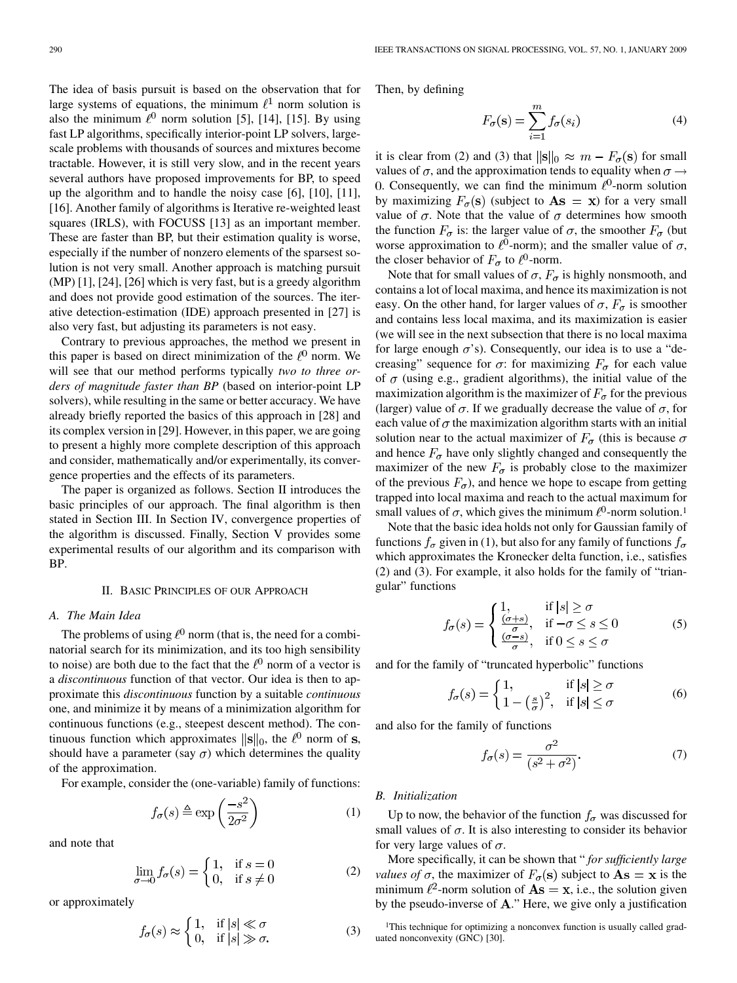The idea of basis pursuit is based on the observation that for large systems of equations, the minimum  $\ell^1$  norm solution is also the minimum  $\ell^0$  norm solution [5], [14], [15]. By using fast LP algorithms, specifically interior-point LP solvers, largescale problems with thousands of sources and mixtures become tractable. However, it is still very slow, and in the recent years several authors have proposed improvements for BP, to speed up the algorithm and to handle the noisy case [6], [10], [11], [16]. Another family of algorithms is Iterative re-weighted least squares (IRLS), with FOCUSS [13] as an important member. These are faster than BP, but their estimation quality is worse, especially if the number of nonzero elements of the sparsest solution is not very small. Another approach is matching pursuit (MP) [1], [24], [26] which is very fast, but is a greedy algorithm and does not provide good estimation of the sources. The iterative detection-estimation (IDE) approach presented in [27] is also very fast, but adjusting its parameters is not easy.

Contrary to previous approaches, the method we present in this paper is based on direct minimization of the  $\ell^0$  norm. We will see that our method performs typically *two to three orders of magnitude faster than BP* (based on interior-point LP solvers), while resulting in the same or better accuracy. We have already briefly reported the basics of this approach in [28] and its complex version in [29]. However, in this paper, we are going to present a highly more complete description of this approach and consider, mathematically and/or experimentally, its convergence properties and the effects of its parameters.

The paper is organized as follows. Section II introduces the basic principles of our approach. The final algorithm is then stated in Section III. In Section IV, convergence properties of the algorithm is discussed. Finally, Section V provides some experimental results of our algorithm and its comparison with BP.

#### II. BASIC PRINCIPLES OF OUR APPROACH

## *A. The Main Idea*

The problems of using  $\ell^0$  norm (that is, the need for a combinatorial search for its minimization, and its too high sensibility to noise) are both due to the fact that the  $\ell^0$  norm of a vector is a *discontinuous* function of that vector. Our idea is then to approximate this *discontinuous* function by a suitable *continuous* one, and minimize it by means of a minimization algorithm for continuous functions (e.g., steepest descent method). The continuous function which approximates  $\|\mathbf{s}\|_0$ , the  $\ell^0$  norm of s, should have a parameter (say  $\sigma$ ) which determines the quality of the approximation.

For example, consider the (one-variable) family of functions:

 $f_{\sigma}(s) \triangleq \exp\left(\frac{-s^2}{2\sigma^2}\right)$ (1)

and note that

$$
\lim_{\sigma \to 0} f_{\sigma}(s) = \begin{cases} 1, & \text{if } s = 0 \\ 0, & \text{if } s \neq 0 \end{cases}
$$
 (2)

or approximately

$$
f_{\sigma}(s) \approx \begin{cases} 1, & \text{if } |s| \ll \sigma \\ 0, & \text{if } |s| \gg \sigma. \end{cases}
$$
 (3)

Then, by defining

$$
F_{\sigma}(\mathbf{s}) = \sum_{i=1}^{m} f_{\sigma}(s_i)
$$
 (4)

it is clear from (2) and (3) that  $\|\mathbf{s}\|_0 \approx m - F_{\sigma}(\mathbf{s})$  for small values of  $\sigma$ , and the approximation tends to equality when  $\sigma \rightarrow$ 0. Consequently, we can find the minimum  $\ell^0$ -norm solution by maximizing  $F_{\sigma}(\mathbf{s})$  (subject to  $\mathbf{As} = \mathbf{x}$ ) for a very small value of  $\sigma$ . Note that the value of  $\sigma$  determines how smooth the function  $F_{\sigma}$  is: the larger value of  $\sigma$ , the smoother  $F_{\sigma}$  (but worse approximation to  $\ell^0$ -norm); and the smaller value of  $\sigma$ , the closer behavior of  $F_{\sigma}$  to  $\ell^0$ -norm.

Note that for small values of  $\sigma$ ,  $F_{\sigma}$  is highly nonsmooth, and contains a lot of local maxima, and hence its maximization is not easy. On the other hand, for larger values of  $\sigma$ ,  $F_{\sigma}$  is smoother and contains less local maxima, and its maximization is easier (we will see in the next subsection that there is no local maxima for large enough  $\sigma$ 's). Consequently, our idea is to use a "decreasing" sequence for  $\sigma$ : for maximizing  $F_{\sigma}$  for each value of  $\sigma$  (using e.g., gradient algorithms), the initial value of the maximization algorithm is the maximizer of  $F_{\sigma}$  for the previous (larger) value of  $\sigma$ . If we gradually decrease the value of  $\sigma$ , for each value of  $\sigma$  the maximization algorithm starts with an initial solution near to the actual maximizer of  $F_{\sigma}$  (this is because  $\sigma$ and hence  $F_{\sigma}$  have only slightly changed and consequently the maximizer of the new  $F_{\sigma}$  is probably close to the maximizer of the previous  $F_{\sigma}$ ), and hence we hope to escape from getting trapped into local maxima and reach to the actual maximum for small values of  $\sigma$ , which gives the minimum  $\ell^0$ -norm solution.<sup>1</sup>

Note that the basic idea holds not only for Gaussian family of functions  $f_{\sigma}$  given in (1), but also for any family of functions  $f_{\sigma}$ which approximates the Kronecker delta function, i.e., satisfies (2) and (3). For example, it also holds for the family of "triangular" functions

$$
f_{\sigma}(s) = \begin{cases} 1, & \text{if } |s| \ge \sigma \\ \frac{(\sigma + s)}{\sigma}, & \text{if } -\sigma \le s \le 0 \\ \frac{(\sigma - s)}{\sigma}, & \text{if } 0 \le s \le \sigma \end{cases}
$$
 (5)

and for the family of "truncated hyperbolic" functions

$$
f_{\sigma}(s) = \begin{cases} 1, & \text{if } |s| \ge \sigma \\ 1 - \left(\frac{s}{\sigma}\right)^2, & \text{if } |s| \le \sigma \end{cases}
$$
 (6)

and also for the family of functions

$$
f_{\sigma}(s) = \frac{\sigma^2}{(s^2 + \sigma^2)}.
$$
 (7)

## *B. Initialization*

Up to now, the behavior of the function  $f_{\sigma}$  was discussed for small values of  $\sigma$ . It is also interesting to consider its behavior for very large values of  $\sigma$ .

More specifically, it can be shown that " *for sufficiently large values of*  $\sigma$ , the maximizer of  $F_{\sigma}(\mathbf{s})$  subject to  $\mathbf{As} = \mathbf{x}$  is the minimum  $\ell^2$ -norm solution of  $\mathbf{As} = \mathbf{x}$ , i.e., the solution given by the pseudo-inverse of  $A$ ." Here, we give only a justification

<sup>&</sup>lt;sup>1</sup>This technique for optimizing a nonconvex function is usually called graduated nonconvexity (GNC) [30].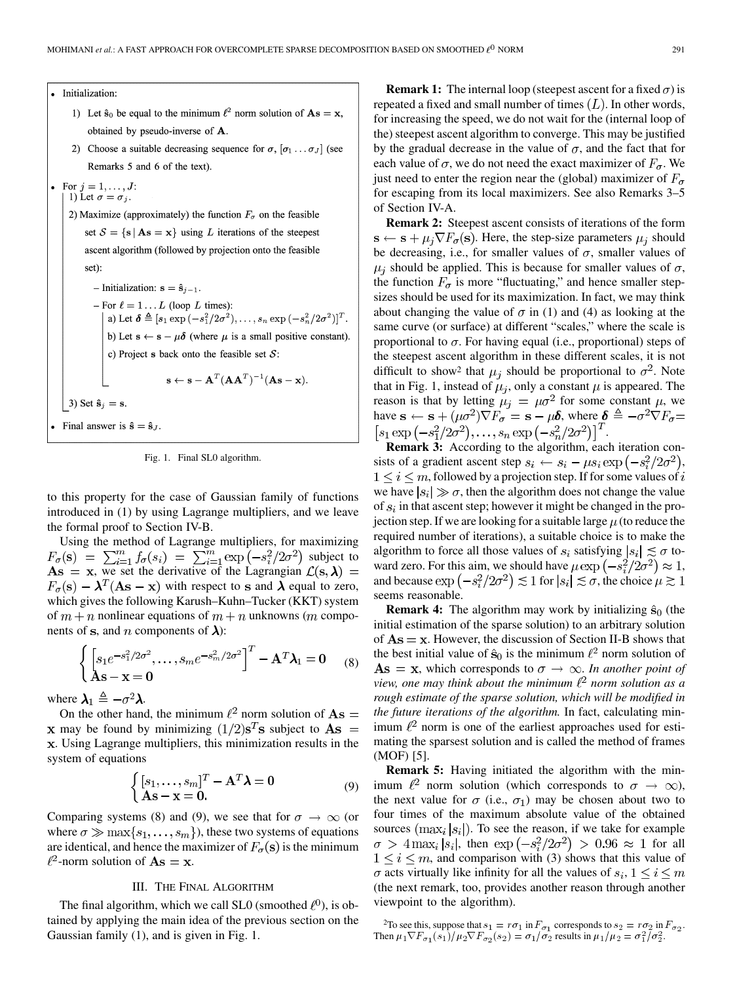#### · Initialization:

- 1) Let  $\hat{\mathbf{s}}_0$  be equal to the minimum  $\ell^2$  norm solution of  $\mathbf{As} = \mathbf{x}$ , obtained by pseudo-inverse of A.
- 2) Choose a suitable decreasing sequence for  $\sigma$ ,  $[\sigma_1 \dots \sigma_J]$  (see Remarks 5 and 6 of the text).

```
• For j = 1, ..., J:
     1) Let \sigma = \sigma_i.
```
2) Maximize (approximately) the function  $F_{\sigma}$  on the feasible set  $S = \{s | As = x\}$  using L iterations of the steepest ascent algorithm (followed by projection onto the feasible set):

- Initialization:  $\mathbf{s} = \hat{\mathbf{s}}_{j-1}$ . - For  $\ell = 1 \dots L$  (loop L times): a) Let  $\delta \triangleq [s_1 \exp(-s_1^2/2\sigma^2), \ldots, s_n \exp(-s_n^2/2\sigma^2)]^T$ . b) Let  $s \leftarrow s - \mu \delta$  (where  $\mu$  is a small positive constant). c) Project s back onto the feasible set  $S$ :  $\mathbf{s} \leftarrow \mathbf{s} - \mathbf{A}^T (\mathbf{A} \mathbf{A}^T)^{-1} (\mathbf{A} \mathbf{s} - \mathbf{x}).$ 3) Set  $\hat{\mathbf{s}}_j = \mathbf{s}$ . • Final answer is  $\hat{\mathbf{s}} = \hat{\mathbf{s}}_J$ .

Fig. 1. Final SL0 algorithm.

to this property for the case of Gaussian family of functions introduced in (1) by using Lagrange multipliers, and we leave the formal proof to Section IV-B.

Using the method of Lagrange multipliers, for maximizing subject to , we set the derivative of the Lagrangian  $F_{\sigma}(\mathbf{s}) - \lambda^T (\mathbf{A}\mathbf{s} - \mathbf{x})$  with respect to s and  $\lambda$  equal to zero, which gives the following Karush–Kuhn–Tucker (KKT) system of  $m + n$  nonlinear equations of  $m + n$  unknowns (*m* components of s, and *n* components of  $\lambda$ ):

$$
\begin{cases}\n\left[s_1e^{-s_1^2/2\sigma^2}, \dots, s_me^{-s_m^2/2\sigma^2}\right]^T - \mathbf{A}^T \boldsymbol{\lambda}_1 = \mathbf{0} \\
\mathbf{A}\mathbf{s} - \mathbf{x} = \mathbf{0}\n\end{cases} (8)
$$

where  $\lambda_1 \triangleq -\sigma^2 \lambda$ .

On the other hand, the minimum  $\ell^2$  norm solution of  $\mathbf{As} =$ **x** may be found by minimizing  $(1/2)s^{T}s$  subject to  $As =$ . Using Lagrange multipliers, this minimization results in the system of equations

$$
\begin{cases} [s_1, \dots, s_m]^T - \mathbf{A}^T \boldsymbol{\lambda} = 0 \\ \mathbf{A} \mathbf{s} - \mathbf{x} = \mathbf{0}. \end{cases}
$$
 (9)

Comparing systems (8) and (9), we see that for  $\sigma \to \infty$  (or where  $\sigma \gg \max\{s_1, \ldots, s_m\}$ , these two systems of equations are identical, and hence the maximizer of  $F_{\sigma}(\mathbf{s})$  is the minimum  $\ell^2$ -norm solution of  $\mathbf{As} = \mathbf{x}$ .

# III. THE FINAL ALGORITHM

The final algorithm, which we call SL0 (smoothed  $\ell^0$ ), is obtained by applying the main idea of the previous section on the Gaussian family (1), and is given in Fig. 1.

**Remark 1:** The internal loop (steepest ascent for a fixed  $\sigma$ ) is repeated a fixed and small number of times  $(L)$ . In other words, for increasing the speed, we do not wait for the (internal loop of the) steepest ascent algorithm to converge. This may be justified by the gradual decrease in the value of  $\sigma$ , and the fact that for each value of  $\sigma$ , we do not need the exact maximizer of  $F_{\sigma}$ . We just need to enter the region near the (global) maximizer of  $F_{\sigma}$ for escaping from its local maximizers. See also Remarks 3–5 of Section IV-A.

**Remark 2:** Steepest ascent consists of iterations of the form  $\mathbf{s} \leftarrow \mathbf{s} + \mu_j \nabla F_{\sigma}(\mathbf{s})$ . Here, the step-size parameters  $\mu_j$  should be decreasing, i.e., for smaller values of  $\sigma$ , smaller values of  $\mu_i$  should be applied. This is because for smaller values of  $\sigma$ , the function  $F_{\sigma}$  is more "fluctuating," and hence smaller stepsizes should be used for its maximization. In fact, we may think about changing the value of  $\sigma$  in (1) and (4) as looking at the same curve (or surface) at different "scales," where the scale is proportional to  $\sigma$ . For having equal (i.e., proportional) steps of the steepest ascent algorithm in these different scales, it is not difficult to show<sup>2</sup> that  $\mu_i$  should be proportional to  $\sigma^2$ . Note that in Fig. 1, instead of  $\mu_j$ , only a constant  $\mu$  is appeared. The reason is that by letting  $\mu_j = \mu \sigma^2$  for some constant  $\mu$ , we have  $\mathbf{s} \leftarrow \mathbf{s} + (\mu \sigma^2) \nabla F_{\sigma} = \mathbf{s} - \mu \delta$ , where  $\delta = -\sigma^2 \nabla F_{\sigma} =$  $[s_1 \exp(-s_1^2/2\sigma^2), \ldots, s_n \exp(-s_n^2/2\sigma^2)]^T$ .

**Remark 3:** According to the algorithm, each iteration consists of a gradient ascent step  $s_i \leftarrow s_i - \mu s_i \exp(-s_i^2/2\sigma^2)$ ,  $1 \leq i \leq m$ , followed by a projection step. If for some values of i we have  $|s_i| \gg \sigma$ , then the algorithm does not change the value of  $s_i$  in that ascent step; however it might be changed in the projection step. If we are looking for a suitable large  $\mu$  (to reduce the required number of iterations), a suitable choice is to make the algorithm to force all those values of  $s_i$  satisfying  $|s_i| \lesssim \sigma$  toward zero. For this aim, we should have  $\mu \exp(-s_i^2/2\sigma^2) \approx 1$ , and because  $\exp(-s_i^2/2\sigma^2) \lesssim 1$  for  $|s_i| \lesssim \sigma$ , the choice  $\mu \gtrsim 1$ seems reasonable.

**Remark 4:** The algorithm may work by initializing  $\hat{\mathbf{s}}_0$  (the initial estimation of the sparse solution) to an arbitrary solution of  $\mathbf{As} = \mathbf{x}$ . However, the discussion of Section II-B shows that the best initial value of  $\hat{s}_0$  is the minimum  $\ell^2$  norm solution of  $As = x$ , which corresponds to  $\sigma \rightarrow \infty$ . In another point of *view, one may think about the minimum*  $\ell^2$  norm solution as a *rough estimate of the sparse solution, which will be modified in the future iterations of the algorithm.* In fact, calculating minimum  $l^2$  norm is one of the earliest approaches used for estimating the sparsest solution and is called the method of frames (MOF) [5].

**Remark 5:** Having initiated the algorithm with the minimum  $\ell^2$  norm solution (which corresponds to  $\sigma \to \infty$ ), the next value for  $\sigma$  (i.e.,  $\sigma_1$ ) may be chosen about two to four times of the maximum absolute value of the obtained sources  $(\max_i |s_i|)$ . To see the reason, if we take for example  $\sigma > 4 \max_i |s_i|$ , then  $\exp(-s_i^2/2\sigma^2) > 0.96 \approx 1$  for all  $1 \leq i \leq m$ , and comparison with (3) shows that this value of  $\sigma$  acts virtually like infinity for all the values of  $s_i, 1 \leq i \leq m$ (the next remark, too, provides another reason through another viewpoint to the algorithm).

<sup>2</sup>To see this, suppose that  $s_1 = r\sigma_1$  in  $F_{\sigma_1}$  corresponds to  $s_2 = r\sigma_2$  in  $F_{\sigma_2}$ .<br>Then  $\mu_1 \nabla F_{\sigma_1}(s_1)/\mu_2 \nabla F_{\sigma_2}(s_2) = \sigma_1/\sigma_2$  results in  $\mu_1/\mu_2 = \sigma_1^2/\sigma_2^2$ .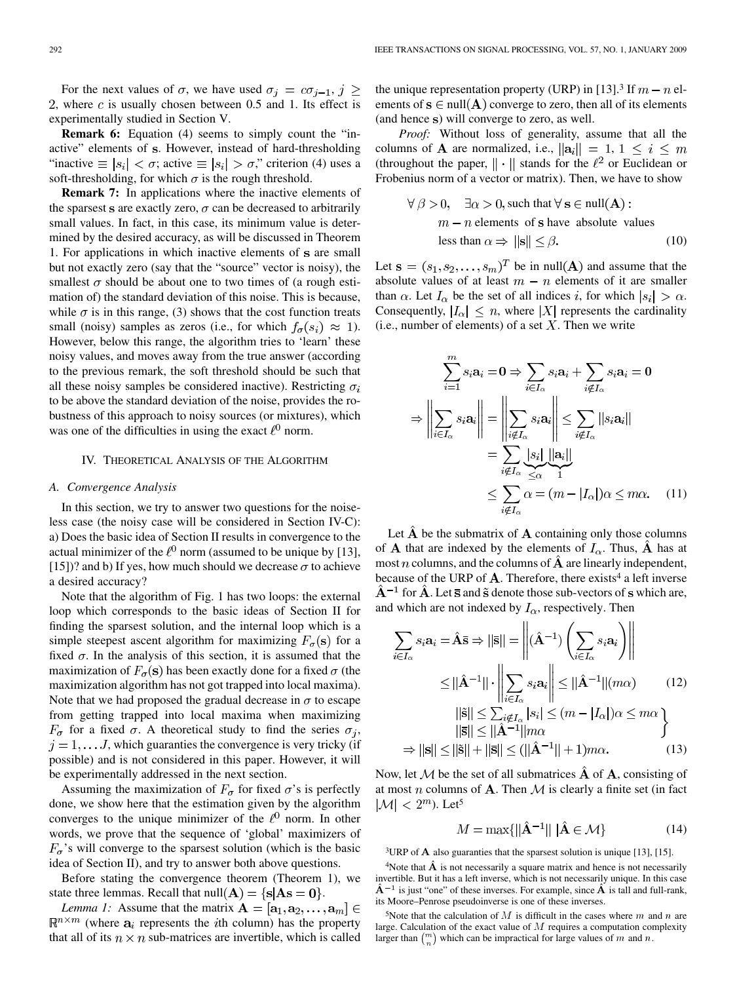For the next values of  $\sigma$ , we have used  $\sigma_i = c\sigma_{i-1}, j \geq$ 2, where c is usually chosen between 0.5 and 1. Its effect is experimentally studied in Section V.

**Remark 6:** Equation (4) seems to simply count the "inactive" elements of s. However, instead of hard-thresholding "inactive  $\equiv |s_i| < \sigma$ ; active  $\equiv |s_i| > \sigma$ ," criterion (4) uses a soft-thresholding, for which  $\sigma$  is the rough threshold.

**Remark 7:** In applications where the inactive elements of the sparsest s are exactly zero,  $\sigma$  can be decreased to arbitrarily small values. In fact, in this case, its minimum value is determined by the desired accuracy, as will be discussed in Theorem 1. For applications in which inactive elements of s are small but not exactly zero (say that the "source" vector is noisy), the smallest  $\sigma$  should be about one to two times of (a rough estimation of) the standard deviation of this noise. This is because, while  $\sigma$  is in this range, (3) shows that the cost function treats small (noisy) samples as zeros (i.e., for which  $f_{\sigma}(s_i) \approx 1$ ). However, below this range, the algorithm tries to 'learn' these noisy values, and moves away from the true answer (according to the previous remark, the soft threshold should be such that all these noisy samples be considered inactive). Restricting  $\sigma_i$ to be above the standard deviation of the noise, provides the robustness of this approach to noisy sources (or mixtures), which was one of the difficulties in using the exact  $\ell^0$  norm.

#### IV. THEORETICAL ANALYSIS OF THE ALGORITHM

#### *A. Convergence Analysis*

In this section, we try to answer two questions for the noiseless case (the noisy case will be considered in Section IV-C): a) Does the basic idea of Section II results in convergence to the actual minimizer of the  $\ell^0$  norm (assumed to be unique by [13], [15])? and b) If yes, how much should we decrease  $\sigma$  to achieve a desired accuracy?

Note that the algorithm of Fig. 1 has two loops: the external loop which corresponds to the basic ideas of Section II for finding the sparsest solution, and the internal loop which is a simple steepest ascent algorithm for maximizing  $F_{\sigma}(\mathbf{s})$  for a fixed  $\sigma$ . In the analysis of this section, it is assumed that the maximization of  $F_{\sigma}(\mathbf{s})$  has been exactly done for a fixed  $\sigma$  (the maximization algorithm has not got trapped into local maxima). Note that we had proposed the gradual decrease in  $\sigma$  to escape from getting trapped into local maxima when maximizing  $F_{\sigma}$  for a fixed  $\sigma$ . A theoretical study to find the series  $\sigma_i$ ,  $j = 1, \dots, J$ , which guaranties the convergence is very tricky (if possible) and is not considered in this paper. However, it will be experimentally addressed in the next section.

Assuming the maximization of  $F_{\sigma}$  for fixed  $\sigma$ 's is perfectly done, we show here that the estimation given by the algorithm converges to the unique minimizer of the  $\ell^0$  norm. In other words, we prove that the sequence of 'global' maximizers of  $F_{\sigma}$ 's will converge to the sparsest solution (which is the basic idea of Section II), and try to answer both above questions.

Before stating the convergence theorem (Theorem 1), we state three lemmas. Recall that  $null(A) = \{s | As = 0\}$ .

*Lemma 1:* Assume that the matrix  $A = [a_1, a_2, \dots, a_m] \in$  $\mathbb{R}^{n \times m}$  (where  $a_i$  represents the *i*th column) has the property that all of its  $n \times n$  sub-matrices are invertible, which is called

the unique representation property (URP) in [13].<sup>3</sup> If  $m - n$  elements of  $s \in null(A)$  converge to zero, then all of its elements (and hence s) will converge to zero, as well.

*Proof:* Without loss of generality, assume that all the columns of **A** are normalized, i.e.,  $\|\mathbf{a}_i\| = 1, 1 \le i \le m$ (throughout the paper,  $\|\cdot\|$  stands for the  $\ell^2$  or Euclidean or Frobenius norm of a vector or matrix). Then, we have to show

$$
\forall \beta > 0, \quad \exists \alpha > 0, \text{ such that } \forall \mathbf{s} \in \text{null}(\mathbf{A}) :
$$
  

$$
m - n \text{ elements of } \mathbf{s} \text{ have absolute values}
$$
  
less than  $\alpha \Rightarrow ||\mathbf{s}|| \le \beta$ . (10)

Let  $\mathbf{s} = (s_1, s_2, \dots, s_m)^T$  be in null(A) and assume that the absolute values of at least  $m - n$  elements of it are smaller than  $\alpha$ . Let  $I_{\alpha}$  be the set of all indices i, for which  $|s_i| > \alpha$ . Consequently,  $|I_{\alpha}| \leq n$ , where |X| represents the cardinality (i.e., number of elements) of a set  $X$ . Then we write

$$
\sum_{i=1}^{m} s_i \mathbf{a}_i = \mathbf{0} \Rightarrow \sum_{i \in I_{\alpha}} s_i \mathbf{a}_i + \sum_{i \notin I_{\alpha}} s_i \mathbf{a}_i = \mathbf{0}
$$

$$
\Rightarrow \left\| \sum_{i \in I_{\alpha}} s_i \mathbf{a}_i \right\| = \left\| \sum_{i \notin I_{\alpha}} s_i \mathbf{a}_i \right\| \le \sum_{i \notin I_{\alpha}} ||s_i \mathbf{a}_i||
$$

$$
= \sum_{i \notin I_{\alpha}} \frac{|s_i|}{\le \alpha} ||\mathbf{a}_i||
$$

$$
\le \sum_{i \notin I_{\alpha}} \alpha = (m - |I_{\alpha}|) \alpha \le m\alpha. \quad (11)
$$

Let  $\hat{A}$  be the submatrix of  $A$  containing only those columns of **A** that are indexed by the elements of  $I_{\alpha}$ . Thus,  $\hat{A}$  has at most *n* columns, and the columns of  $\hat{A}$  are linearly independent, because of the URP of  $A$ . Therefore, there exists<sup>4</sup> a left inverse  $\hat{A}^{-1}$  for  $\hat{A}$ . Let  $\bar{s}$  and  $\tilde{s}$  denote those sub-vectors of s which are, and which are not indexed by  $I_{\alpha}$ , respectively. Then

$$
\sum_{i \in I_{\alpha}} s_i \mathbf{a}_i = \hat{\mathbf{A}} \mathbf{\bar{s}} \Rightarrow ||\mathbf{\bar{s}}|| = \left\| (\hat{\mathbf{A}}^{-1}) \left( \sum_{i \in I_{\alpha}} s_i \mathbf{a}_i \right) \right\|
$$
  
\n
$$
\leq ||\hat{\mathbf{A}}^{-1}|| \cdot \left\| \sum_{i \in I_{\alpha}} s_i \mathbf{a}_i \right\| \leq ||\hat{\mathbf{A}}^{-1}|| (m\alpha) \qquad (12)
$$
  
\n
$$
||\mathbf{\tilde{s}}|| \leq \sum_{i \notin I_{\alpha}} |s_i| \leq (m - |I_{\alpha}|)\alpha \leq m\alpha
$$
  
\n
$$
||\mathbf{\bar{s}}|| \leq ||\hat{\mathbf{A}}^{-1}|| m\alpha \qquad \qquad \}
$$
  
\n
$$
\Rightarrow ||\mathbf{s}|| \leq ||\mathbf{\tilde{s}}|| + ||\mathbf{\bar{s}}|| \leq (||\hat{\mathbf{A}}^{-1}|| + 1) m\alpha. \qquad (13)
$$

Now, let M be the set of all submatrices  $\hat{A}$  of  $A$ , consisting of at most n columns of **A**. Then  $M$  is clearly a finite set (in fact  $|\mathcal{M}| < 2^m$ ). Let<sup>5</sup>

$$
M = \max\{||\hat{\mathbf{A}}^{-1}|| \, |\hat{\mathbf{A}} \in \mathcal{M}\}
$$
 (14)  
\n<sup>3</sup>URP of **A** also guarantees that the sparsest solution is unique [13], [15].  
\n<sup>4</sup>Note that  $\hat{\mathbf{A}}$  is not necessarily a square matrix and hence is not necessarily

 $3$ URP of A also guaranties that the sparsest solution is unique [13], [15].

invertible. But it has a left inverse, which is not necessarily unique. In this case <sup>3</sup>URP of **A** also guaranties that the sparsest solution is unique [13], [15].<br><sup>4</sup>Note that  $\hat{A}$  is not necessarily a square matrix and hence is not necessarily<br>invertible. But it has a left inverse, which is not neces its Moore–Penrose pseudoinverse is one of these inverses.

<sup>5</sup>Note that the calculation of M is difficult in the cases where  $m$  and  $n$  are large. Calculation of the exact value of  $M$  requires a computation complexity larger than  $\binom{m}{n}$  which can be impractical for large values of m and n.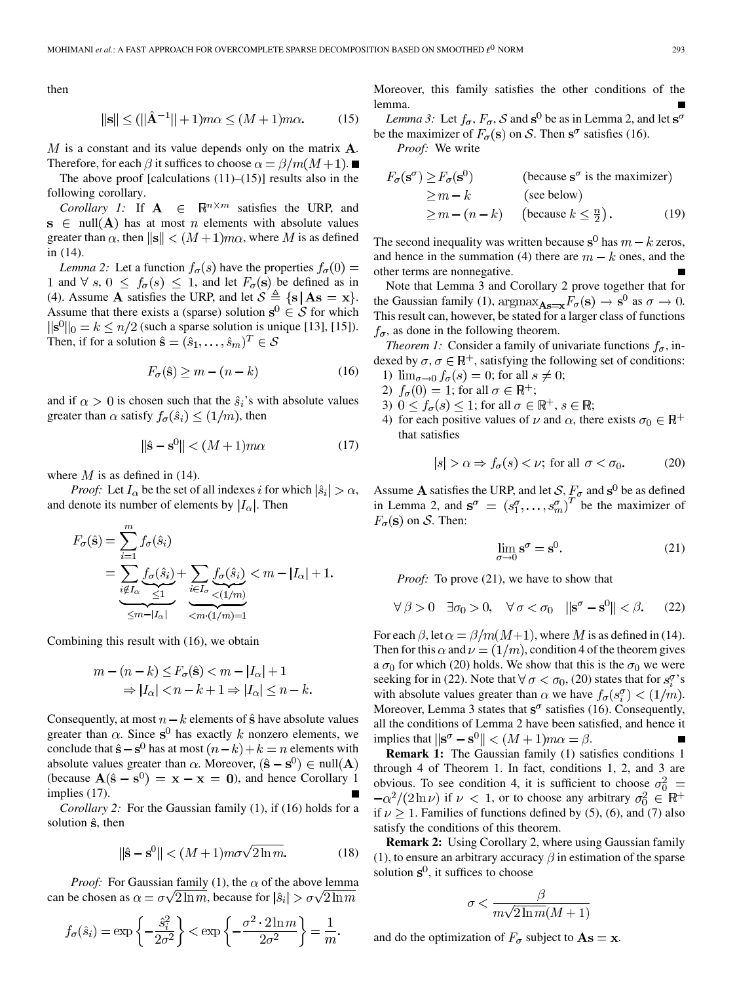then

$$
\|\mathbf{s}\| \le (\|\hat{\mathbf{A}}^{-1}\| + 1)m\alpha \le (M + 1)m\alpha. \tag{15}
$$

 $M$  is a constant and its value depends only on the matrix  $A$ . Therefore, for each  $\beta$  it suffices to choose  $\alpha = \beta/m(M+1)$ .

The above proof [calculations  $(11)$ – $(15)$ ] results also in the following corollary.

*Corollary 1:* If  $A \in \mathbb{R}^{n \times m}$  satisfies the URP, and  $s \in null(A)$  has at most *n* elements with absolute values greater than  $\alpha$ , then  $\|\mathbf{s}\| < (M+1)m\alpha$ , where M is as defined in (14).

*Lemma 2:* Let a function  $f_{\sigma}(s)$  have the properties  $f_{\sigma}(0)$  = 1 and  $\forall s, 0 \leq f_{\sigma}(s) \leq 1$ , and let  $F_{\sigma}(s)$  be defined as in (4). Assume **A** satisfies the URP, and let  $S \triangleq \{s | As = x\}$ . Assume that there exists a (sparse) solution  $s^0 \in S$  for which  $||{\bf s}^{0}||_{0} = k \le n/2$  (such a sparse solution is unique [13], [15]). Then, if for a solution  $\hat{\mathbf{s}} = (\hat{s}_1, \dots, \hat{s}_m)^T \in \mathcal{S}$ 

$$
F_{\sigma}(\hat{\mathbf{s}}) \ge m - (n - k) \tag{16}
$$

and if  $\alpha > 0$  is chosen such that the  $\hat{s}_i$ 's with absolute values greater than  $\alpha$  satisfy  $f_{\sigma}(\hat{s}_i) \leq (1/m)$ , then

$$
\|\hat{\mathbf{s}} - \mathbf{s}^0\| < (M+1)m\alpha \tag{17}
$$

where  $M$  is as defined in (14).

*Proof:* Let  $I_{\alpha}$  be the set of all indexes i for which  $|\hat{s}_i| > \alpha$ , and denote its number of elements by  $|I_{\alpha}|$ . Then

$$
F_{\sigma}(\hat{\mathbf{s}}) = \sum_{i=1}^{m} f_{\sigma}(\hat{s}_i)
$$
  
= 
$$
\sum_{i \notin I_{\alpha}} \underbrace{f_{\sigma}(\hat{s}_i)}_{\leq 1} + \sum_{i \in I_{\sigma}} \underbrace{f_{\sigma}(\hat{s}_i)}_{\leq m - |I_{\alpha}|} < m - |I_{\alpha}| + 1.
$$
  

$$
\underbrace{f_{\sigma}(\hat{s}_i)}_{\leq m - |I_{\alpha}|} + \underbrace{f_{\sigma}(\hat{s}_i)}_{\leq m \cdot (1/m) = 1}
$$

Combining this result with (16), we obtain

$$
m - (n - k) \le F_{\sigma}(\hat{\mathbf{s}}) < m - |I_{\alpha}| + 1
$$
\n
$$
\Rightarrow |I_{\alpha}| < n - k + 1 \Rightarrow |I_{\alpha}| \le n - k.
$$

Consequently, at most  $n - k$  elements of  $\hat{\mathbf{s}}$  have absolute values greater than  $\alpha$ . Since s<sup>0</sup> has exactly k nonzero elements, we conclude that  $\hat{s} - s^0$  has at most  $(n - k) + k = n$  elements with absolute values greater than  $\alpha$ . Moreover,  $(\hat{s} - s^0) \in null(A)$ (because  $A(\hat{s} - s^0) = x - x = 0$ ), and hence Corollary 1 implies (17).

*Corollary 2:* For the Gaussian family (1), if (16) holds for a solution  $\hat{s}$ , then

$$
\|\hat{\mathbf{s}} - \mathbf{s}^0\| < (M+1)m\sigma\sqrt{2\ln m}.\tag{18}
$$

*Proof:* For Gaussian family (1), the  $\alpha$  of the above lemma can be chosen as  $\alpha = \sigma \sqrt{2 \ln m}$ , because for  $|\hat{s}_i| > \sigma \sqrt{2 \ln m}$ 

$$
f_{\sigma}(\hat{s}_i) = \exp\left\{-\frac{\hat{s}_i^2}{2\sigma^2}\right\} < \exp\left\{-\frac{\sigma^2 \cdot 2 \ln m}{2\sigma^2}\right\} = \frac{1}{m}.
$$

Moreover, this family satisfies the other conditions of the lemma.

*Lemma 3:* Let  $f_{\sigma}$ ,  $F_{\sigma}$ , S and  $\mathbf{s}^0$  be as in Lemma 2, and let  $\mathbf{s}^{\sigma}$ be the maximizer of  $F_{\sigma}(\mathbf{s})$  on S. Then  $\mathbf{s}^{\sigma}$  satisfies (16).

*Proof:* We write

$$
F_{\sigma}(\mathbf{s}^{\sigma}) \ge F_{\sigma}(\mathbf{s}^{0})
$$
 (because  $\mathbf{s}^{\sigma}$  is the maximizer)  
\n
$$
\ge m - k
$$
 (see below)  
\n
$$
\ge m - (n - k)
$$
 (because  $k \le \frac{n}{2}$ ). (19)

The second inequality was written because  $s^0$  has  $m - k$  zeros, and hence in the summation (4) there are  $m - k$  ones, and the other terms are nonnegative.

Note that Lemma 3 and Corollary 2 prove together that for the Gaussian family (1),  $\text{argmax}_{\mathbf{As}=\mathbf{x}} F_{\sigma}(\mathbf{s}) \to \mathbf{s}^0$  as  $\sigma \to 0$ . This result can, however, be stated for a larger class of functions  $f_{\sigma}$ , as done in the following theorem.

*Theorem 1:* Consider a family of univariate functions  $f_{\sigma}$ , indexed by  $\sigma, \sigma \in \mathbb{R}^+$ , satisfying the following set of conditions: 1)  $\lim_{\sigma \to 0} f_{\sigma}(s) = 0$ ; for all  $s \neq 0$ ;

- 2)  $f_{\sigma}(0) = 1$ ; for all  $\sigma \in \mathbb{R}^+$ ;
- 
- 3)  $0 \le f_{\sigma}(s) \le 1$ ; for all  $\sigma \in \mathbb{R}^+$ ,  $s \in \mathbb{R}$ ;
- 4) for each positive values of  $\nu$  and  $\alpha$ , there exists  $\sigma_0 \in \mathbb{R}^+$ that satisfies

$$
|s| > \alpha \Rightarrow f_{\sigma}(s) < \nu; \text{ for all } \sigma < \sigma_0. \tag{20}
$$

Assume A satisfies the URP, and let  $\mathcal{S}, \underline{F}_{\sigma}$  and  $\mathbf{s}^0$  be as defined in Lemma 2, and  $\mathbf{s}^{\sigma} = (s_1^{\sigma}, \dots, s_m^{\sigma})^{\tau}$  be the maximizer of  $F_{\sigma}(\mathbf{s})$  on S. Then:

$$
\lim_{\sigma \to 0} \mathbf{s}^{\sigma} = \mathbf{s}^{0}.
$$
 (21)

*Proof:* To prove (21), we have to show that

$$
\forall \beta > 0 \quad \exists \sigma_0 > 0, \quad \forall \sigma < \sigma_0 \quad ||\mathbf{s}^{\sigma} - \mathbf{s}^0|| < \beta. \tag{22}
$$

For each  $\beta$ , let  $\alpha = \beta/m(M+1)$ , where M is as defined in (14). Then for this  $\alpha$  and  $\nu = (1/m)$ , condition 4 of the theorem gives a  $\sigma_0$  for which (20) holds. We show that this is the  $\sigma_0$  we were seeking for in (22). Note that  $\forall \sigma < \sigma_0$ , (20) states that for  $s_i^{\sigma}$ 's with absolute values greater than  $\alpha$  we have  $f_{\sigma}(s_i^{\sigma}) < (1/m)$ . Moreover, Lemma 3 states that  $s^{\sigma}$  satisfies (16). Consequently, all the conditions of Lemma 2 have been satisfied, and hence it implies that  $\|\mathbf{s}^{\sigma} - \mathbf{s}^{0}\| < (M+1)m\alpha = \beta$ .

**Remark 1:** The Gaussian family (1) satisfies conditions 1 through 4 of Theorem 1. In fact, conditions 1, 2, and 3 are obvious. To see condition 4, it is sufficient to choose  $\sigma_0^2$  =  $-\alpha^2/(2\ln \nu)$  if  $\nu < 1$ , or to choose any arbitrary  $\sigma_0^2 \in \mathbb{R}^+$ if  $\nu \geq 1$ . Families of functions defined by (5), (6), and (7) also satisfy the conditions of this theorem.

**Remark 2:** Using Corollary 2, where using Gaussian family (1), to ensure an arbitrary accuracy  $\beta$  in estimation of the sparse solution  $s^0$ , it suffices to choose

$$
\sigma < \frac{\beta}{m\sqrt{2\ln m}(M+1)}
$$

and do the optimization of  $F_{\sigma}$  subject to  $\mathbf{As} = \mathbf{x}$ .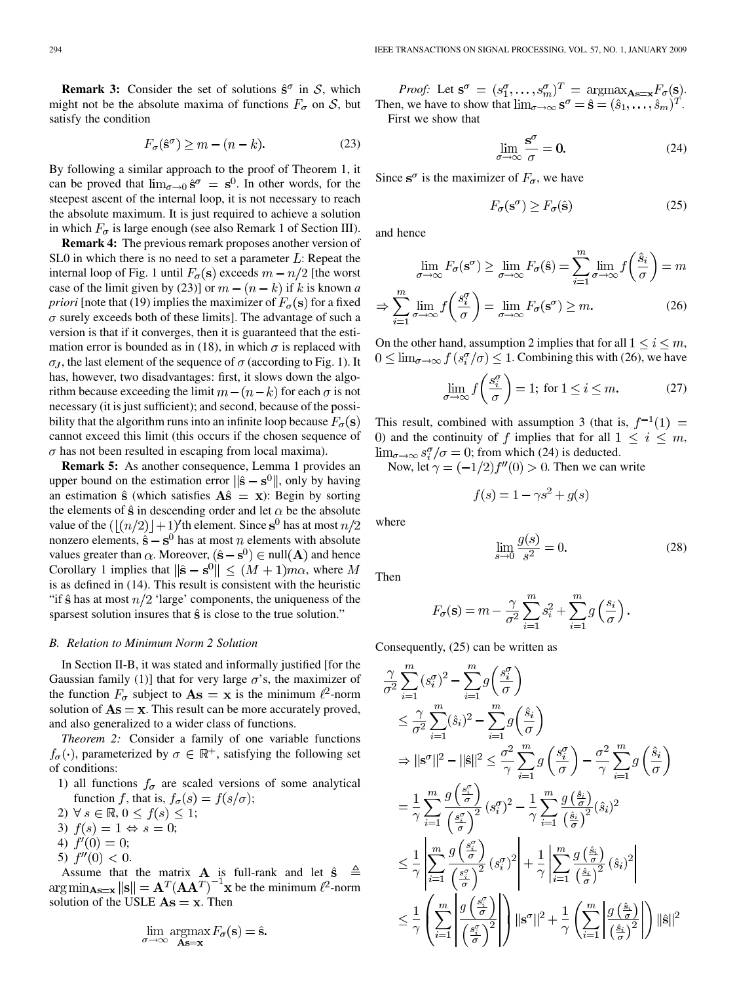**Remark 3:** Consider the set of solutions  $\hat{s}^{\sigma}$  in S, which might not be the absolute maxima of functions  $F_{\sigma}$  on S, but satisfy the condition

$$
F_{\sigma}(\hat{\mathbf{s}}^{\sigma}) \ge m - (n - k). \tag{23}
$$

By following a similar approach to the proof of Theorem 1, it can be proved that  $\lim_{\sigma \to 0} \hat{s}^{\sigma} = s^0$ . In other words, for the steepest ascent of the internal loop, it is not necessary to reach the absolute maximum. It is just required to achieve a solution in which  $F_{\sigma}$  is large enough (see also Remark 1 of Section III).

**Remark 4:** The previous remark proposes another version of SL0 in which there is no need to set a parameter  $L$ : Repeat the internal loop of Fig. 1 until  $F_{\sigma}(\mathbf{s})$  exceeds  $m - n/2$  [the worst case of the limit given by (23)] or  $m - (n - k)$  if k is known *a priori* [note that (19) implies the maximizer of  $F_{\sigma}(\mathbf{s})$  for a fixed  $\sigma$  surely exceeds both of these limits]. The advantage of such a version is that if it converges, then it is guaranteed that the estimation error is bounded as in (18), in which  $\sigma$  is replaced with  $\sigma_J$ , the last element of the sequence of  $\sigma$  (according to Fig. 1). It has, however, two disadvantages: first, it slows down the algorithm because exceeding the limit  $m - (n - k)$  for each  $\sigma$  is not necessary (it is just sufficient); and second, because of the possibility that the algorithm runs into an infinite loop because  $F_{\sigma}(\mathbf{s})$ cannot exceed this limit (this occurs if the chosen sequence of  $\sigma$  has not been resulted in escaping from local maxima).

**Remark 5:** As another consequence, Lemma 1 provides an upper bound on the estimation error  $\|\hat{\mathbf{s}} - \mathbf{s}^0\|$ , only by having an estimation  $\hat{\mathbf{s}}$  (which satisfies  $\mathbf{A}\hat{\mathbf{s}} = \mathbf{x}$ ): Begin by sorting the elements of  $\hat{\mathbf{s}}$  in descending order and let  $\alpha$  be the absolute value of the  $(\frac{n}{2})+1$ 'th element. Since s<sup>0</sup> has at most  $n/2$ nonzero elements,  $\hat{\mathbf{s}} - \mathbf{s}^0$  has at most *n* elements with absolute values greater than  $\alpha$ . Moreover,  $(\hat{s} - s^0) \in null(A)$  and hence Corollary 1 implies that  $\|\hat{\mathbf{s}} - \mathbf{s}^0\| \leq (M+1)m\alpha$ , where M is as defined in (14). This result is consistent with the heuristic "if  $\hat{\mathbf{s}}$  has at most  $n/2$  'large' components, the uniqueness of the sparsest solution insures that  $\hat{s}$  is close to the true solution."

## *B. Relation to Minimum Norm 2 Solution*

In Section II-B, it was stated and informally justified [for the Gaussian family (1)] that for very large  $\sigma$ 's, the maximizer of the function  $F_{\sigma}$  subject to  $\mathbf{As} = \mathbf{x}$  is the minimum  $\ell^2$ -norm solution of  $\mathbf{A}\mathbf{s} = \mathbf{x}$ . This result can be more accurately proved, and also generalized to a wider class of functions.

*Theorem 2:* Consider a family of one variable functions  $f_{\sigma}(\cdot)$ , parameterized by  $\sigma \in \mathbb{R}^+$ , satisfying the following set of conditions:

- 1) all functions  $f_{\sigma}$  are scaled versions of some analytical function f, that is,  $f_{\sigma}(s) = f(s/\sigma)$ ;
- 2)  $\forall s \in \mathbb{R}, 0 \leq f(s) \leq 1;$
- 3)  $f(s) = 1 \Leftrightarrow s = 0;$
- 4)  $f'(0) = 0;$
- 5)  $f''(0) < 0$ .

Assume that the matrix  $\bf{A}$  is full-rank and let be the minimum  $\ell^2$ -norm solution of the USLE  $As = x$ . Then

$$
\lim_{\sigma \to \infty} \operatorname*{argmax}_{\mathbf{As}=\mathbf{x}} F_{\sigma}(\mathbf{s}) = \hat{\mathbf{s}}
$$

*Proof:* Let  $\mathbf{s}^{\sigma} = (s_1^{\sigma}, \dots, s_m^{\sigma})^T = \operatorname{argmax}_{\mathbf{As}=\mathbf{x}} F_{\sigma}(\mathbf{s}).$ Then, we have to show that  $\lim_{\sigma \to \infty} s^{\sigma} = \hat{s} = (\hat{s}_1, \dots, \hat{s}_m)^T$ . First we show that

$$
\lim_{\sigma \to \infty} \frac{s^{\sigma}}{\sigma} = 0. \tag{24}
$$

Since  $s^{\sigma}$  is the maximizer of  $F_{\sigma}$ , we have

$$
F_{\sigma}(\mathbf{s}^{\sigma}) \ge F_{\sigma}(\hat{\mathbf{s}})
$$
 (25)

and hence

 $\boldsymbol{v}$ 

$$
\lim_{\sigma \to \infty} F_{\sigma}(\mathbf{s}^{\sigma}) \ge \lim_{\sigma \to \infty} F_{\sigma}(\hat{\mathbf{s}}) = \sum_{i=1}^{m} \lim_{\sigma \to \infty} f\left(\frac{\hat{s}_i}{\sigma}\right) = m
$$

$$
\Rightarrow \sum_{i=1}^{\infty} \lim_{\sigma \to \infty} f\left(\frac{s_i^{\sigma}}{\sigma}\right) = \lim_{\sigma \to \infty} F_{\sigma}(\mathbf{s}^{\sigma}) \ge m. \tag{26}
$$

On the other hand, assumption 2 implies that for all  $1 \le i \le m$ ,  $0 \le \lim_{\sigma \to \infty} f(s_i^{\sigma}/\sigma) \le 1$ . Combining this with (26), we have

$$
\lim_{\sigma \to \infty} f\left(\frac{s_i^{\sigma}}{\sigma}\right) = 1; \text{ for } 1 \le i \le m. \tag{27}
$$

This result, combined with assumption 3 (that is,  $f^{-1}(1) =$ 0) and the continuity of f implies that for all  $1 \leq i \leq m$ ,  $\lim_{\sigma \to \infty} s_i^{\sigma}/\sigma = 0$ ; from which (24) is deducted.

Now, let  $\gamma = (-1/2) f''(0) > 0$ . Then we can write

$$
f(s) = 1 - \gamma s^2 + g(s)
$$

where

$$
\lim_{s \to 0} \frac{g(s)}{s^2} = 0.
$$
\n(28)

Then

$$
F_{\sigma}(\mathbf{s}) = m - \frac{\gamma}{\sigma^2} \sum_{i=1}^{m} s_i^2 + \sum_{i=1}^{m} g\left(\frac{s_i}{\sigma}\right)
$$

Consequently, (25) can be written as

$$
\frac{\gamma}{\sigma^2} \sum_{i=1}^m (s_i^{\sigma})^2 - \sum_{i=1}^m g\left(\frac{s_i^{\sigma}}{\sigma}\right)
$$
\n
$$
\leq \frac{\gamma}{\sigma^2} \sum_{i=1}^m (\hat{s}_i)^2 - \sum_{i=1}^m g\left(\frac{\hat{s}_i}{\sigma}\right)
$$
\n
$$
\Rightarrow ||\mathbf{s}^{\sigma}||^2 - ||\hat{\mathbf{s}}||^2 \leq \frac{\sigma^2}{\gamma} \sum_{i=1}^m g\left(\frac{s_i^{\sigma}}{\sigma}\right) - \frac{\sigma^2}{\gamma} \sum_{i=1}^m g\left(\frac{\hat{s}_i}{\sigma}\right)
$$
\n
$$
= \frac{1}{\gamma} \sum_{i=1}^m \frac{g\left(\frac{s_i^{\sigma}}{\sigma}\right)}{\left(\frac{s_i^{\sigma}}{\sigma}\right)^2} (s_i^{\sigma})^2 - \frac{1}{\gamma} \sum_{i=1}^m \frac{g\left(\frac{\hat{s}_i}{\sigma}\right)}{\left(\frac{\hat{s}_i}{\sigma}\right)^2} (\hat{s}_i)^2
$$
\n
$$
\leq \frac{1}{\gamma} \left| \sum_{i=1}^m \frac{g\left(\frac{s_i^{\sigma}}{\sigma}\right)}{\left(\frac{s_i^{\sigma}}{\sigma}\right)^2} (s_i^{\sigma})^2 \right| + \frac{1}{\gamma} \left| \sum_{i=1}^m \frac{g\left(\frac{\hat{s}_i}{\sigma}\right)}{\left(\frac{\hat{s}_i}{\sigma}\right)^2} (\hat{s}_i)^2 \right|
$$
\n
$$
\leq \frac{1}{\gamma} \left( \sum_{i=1}^m \left| \frac{g\left(\frac{s_i^{\sigma}}{\sigma}\right)}{\left(\frac{s_i^{\sigma}}{\sigma}\right)^2} \right| \right) ||\mathbf{s}^{\sigma}||^2 + \frac{1}{\gamma} \left( \sum_{i=1}^m \left| \frac{g\left(\frac{\hat{s}_i}{\sigma}\right)}{\left(\frac{\hat{s}_i}{\sigma}\right)^2} \right| \right) ||\hat{\mathbf{s}}||^2
$$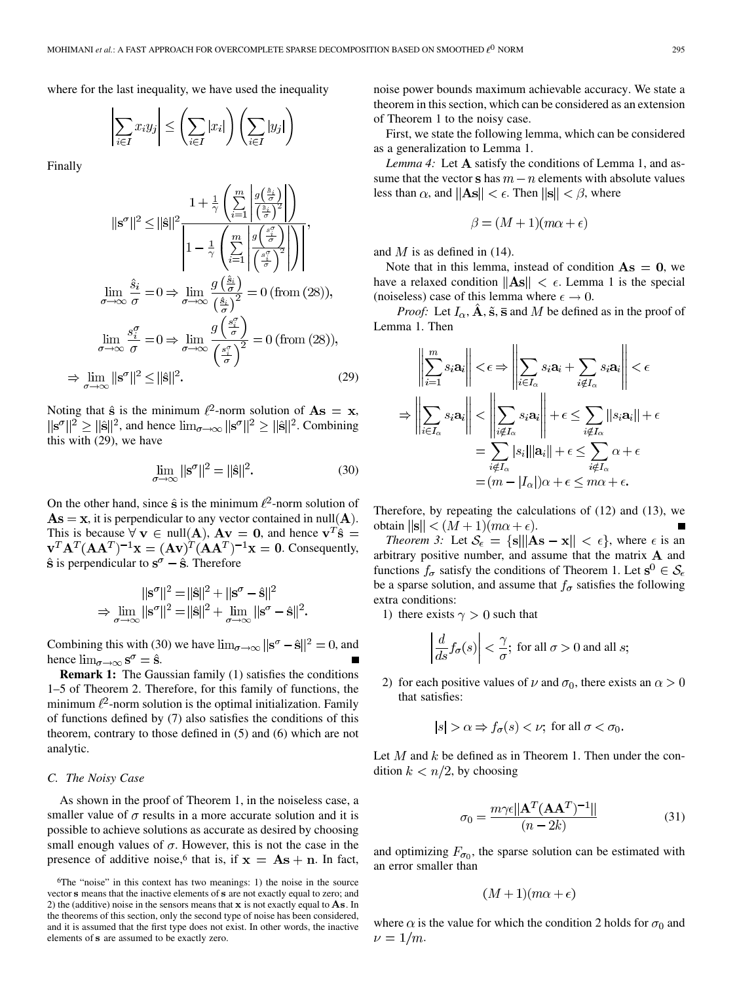where for the last inequality, we have used the inequality

$$
\left|\sum_{i\in I} x_i y_j\right| \le \left(\sum_{i\in I} |x_i|\right) \left(\sum_{i\in I} |y_j|\right)
$$

Finally

$$
\|\mathbf{s}^{\sigma}\|^2 \le \|\hat{\mathbf{s}}\|^2 \frac{1 + \frac{1}{\gamma} \left(\sum\limits_{i=1}^m \frac{g\left(\frac{\hat{s}_i}{\hat{\sigma}}\right)^2}{\left|\frac{\hat{s}_i}{\hat{\sigma}}\right|^2}\right)}{1 - \frac{1}{\gamma} \left(\sum\limits_{i=1}^m \frac{g\left(\frac{\hat{s}_i}{\hat{\sigma}}\right)^2}{\left|\frac{\hat{s}_i^{\sigma}}{\hat{\sigma}}\right|^2}\right)}\right|,
$$
  

$$
\lim_{\sigma \to \infty} \frac{\hat{s}_i}{\sigma} = 0 \Rightarrow \lim_{\sigma \to \infty} \frac{g\left(\frac{\hat{s}_i}{\hat{\sigma}}\right)}{\left(\frac{\hat{s}_i}{\hat{\sigma}}\right)^2} = 0 \text{ (from (28))},
$$
  

$$
\lim_{\sigma \to \infty} \frac{s_i^{\sigma}}{\sigma} = 0 \Rightarrow \lim_{\sigma \to \infty} \frac{g\left(\frac{s_i^{\sigma}}{\hat{\sigma}}\right)}{\left(\frac{s_i^{\sigma}}{\hat{\sigma}}\right)^2} = 0 \text{ (from (28))},
$$
  

$$
\Rightarrow \lim_{\sigma \to \infty} \|\mathbf{s}^{\sigma}\|^2 \le \|\hat{\mathbf{s}}\|^2.
$$
 (29)

Noting that  $\hat{\mathbf{s}}$  is the minimum  $\ell^2$ -norm solution of  $\mathbf{As} = \mathbf{x}$ ,  $\|\mathbf{s}^{\sigma}\|^2 \geq \|\hat{\mathbf{s}}\|^2$ , and hence  $\lim_{\sigma \to \infty} \|\mathbf{s}^{\sigma}\|^2 \geq \|\hat{\mathbf{s}}\|^2$ . Combining this with (29), we have

$$
\lim_{\sigma \to \infty} ||\mathbf{s}^{\sigma}||^2 = ||\hat{\mathbf{s}}||^2.
$$
 (30)

On the other hand, since  $\hat{\mathbf{s}}$  is the minimum  $\ell^2$ -norm solution of  $\mathbf{As} = \mathbf{x}$ , it is perpendicular to any vector contained in null $(\mathbf{A})$ . This is because  $\forall$  v  $\in$  null  $(A)$ ,  $Av = 0$ , and hence  $v^T \hat{s} =$  $\mathbf{v}^T \mathbf{A}^T (\mathbf{A} \mathbf{A}^T)^{-1} \mathbf{x} = (\mathbf{A} \mathbf{v})^T (\mathbf{A} \mathbf{A}^T)^{-1} \mathbf{x} = \mathbf{0}$ . Consequently,  $\hat{\mathbf{s}}$  is perpendicular to  $\mathbf{s}^{\sigma} - \hat{\mathbf{s}}$ . Therefore

$$
||\mathbf{s}^{\sigma}||^{2} = ||\hat{\mathbf{s}}||^{2} + ||\mathbf{s}^{\sigma} - \hat{\mathbf{s}}||^{2}
$$

$$
\Rightarrow \lim_{\sigma \to \infty} ||\mathbf{s}^{\sigma}||^{2} = ||\hat{\mathbf{s}}||^{2} + \lim_{\sigma \to \infty} ||\mathbf{s}^{\sigma} - \hat{\mathbf{s}}||^{2}.
$$

Combining this with (30) we have  $\lim_{\sigma \to \infty} ||\mathbf{s}^{\sigma} - \hat{\mathbf{s}}||^2 = 0$ , and hence  $\lim_{\sigma \to \infty} s^{\sigma} = \hat{s}$ .

**Remark 1:** The Gaussian family (1) satisfies the conditions 1–5 of Theorem 2. Therefore, for this family of functions, the minimum  $\ell^2$ -norm solution is the optimal initialization. Family of functions defined by (7) also satisfies the conditions of this theorem, contrary to those defined in (5) and (6) which are not analytic.

## *C. The Noisy Case*

As shown in the proof of Theorem 1, in the noiseless case, a smaller value of  $\sigma$  results in a more accurate solution and it is possible to achieve solutions as accurate as desired by choosing small enough values of  $\sigma$ . However, this is not the case in the presence of additive noise,<sup>6</sup> that is, if  $x = As + n$ . In fact, noise power bounds maximum achievable accuracy. We state a theorem in this section, which can be considered as an extension of Theorem 1 to the noisy case.

First, we state the following lemma, which can be considered as a generalization to Lemma 1.

*Lemma 4:* Let **A** satisfy the conditions of Lemma 1, and assume that the vector **s** has  $m - n$  elements with absolute values less than  $\alpha$ , and  $||As|| < \epsilon$ . Then  $||s|| < \beta$ , where

$$
\beta = (M+1)(m\alpha + \epsilon)
$$

and  $M$  is as defined in (14).

Note that in this lemma, instead of condition  $As = 0$ , we have a relaxed condition  $\|\mathbf{As}\| < \epsilon$ . Lemma 1 is the special (noiseless) case of this lemma where  $\epsilon \to 0$ .

*Proof:* Let  $I_{\alpha}$ ,  $\hat{A}$ ,  $\hat{s}$ ,  $\bar{s}$  and M be defined as in the proof of Lemma 1. Then

$$
\left\| \sum_{i=1}^{m} s_i \mathbf{a}_i \right\| < \epsilon \Rightarrow \left\| \sum_{i \in I_{\alpha}} s_i \mathbf{a}_i + \sum_{i \notin I_{\alpha}} s_i \mathbf{a}_i \right\| < \epsilon
$$
\n
$$
\Rightarrow \left\| \sum_{i \in I_{\alpha}} s_i \mathbf{a}_i \right\| < \left\| \sum_{i \notin I_{\alpha}} s_i \mathbf{a}_i \right\| + \epsilon \le \sum_{i \notin I_{\alpha}} \|s_i \mathbf{a}_i\| + \epsilon
$$
\n
$$
= \sum_{i \notin I_{\alpha}} |s_i| \| \mathbf{a}_i \| + \epsilon \le \sum_{i \notin I_{\alpha}} \alpha + \epsilon
$$
\n
$$
= (m - |I_{\alpha}|) \alpha + \epsilon \le m\alpha + \epsilon.
$$

Therefore, by repeating the calculations of (12) and (13), we obtain  $\|\mathbf{s}\| < (M+1)(m\alpha + \epsilon)$ .

*Theorem 3:* Let  $S_{\epsilon} = \{s \mid ||As - x|| < \epsilon\}$ , where  $\epsilon$  is an arbitrary positive number, and assume that the matrix  $A$  and functions  $f_{\sigma}$  satisfy the conditions of Theorem 1. Let  $s^0 \in S_{\epsilon}$ be a sparse solution, and assume that  $f_{\sigma}$  satisfies the following extra conditions:

1) there exists  $\gamma > 0$  such that

$$
\left| \frac{d}{ds} f_{\sigma}(s) \right| < \frac{\gamma}{\sigma}; \text{ for all } \sigma > 0 \text{ and all } s;
$$

2) for each positive values of  $\nu$  and  $\sigma_0$ , there exists an  $\alpha > 0$ that satisfies:

$$
|s| > \alpha \Rightarrow f_{\sigma}(s) < \nu
$$
; for all  $\sigma < \sigma_0$ .

Let  $M$  and  $k$  be defined as in Theorem 1. Then under the condition  $k < n/2$ , by choosing

$$
\sigma_0 = \frac{m\gamma\epsilon ||\mathbf{A}^T (\mathbf{A}\mathbf{A}^T)^{-1}||}{(n-2k)}
$$
(31)

and optimizing  $F_{\sigma_0}$ , the sparse solution can be estimated with an error smaller than

$$
(M+1)(m\alpha+\epsilon)
$$

where  $\alpha$  is the value for which the condition 2 holds for  $\sigma_0$  and  $\nu = 1/m$ .

<sup>6</sup>The "noise" in this context has two meanings: 1) the noise in the source vector s means that the inactive elements of s are not exactly equal to zero; and 2) the (additive) noise in the sensors means that  $x$  is not exactly equal to  $A s$ . In the theorems of this section, only the second type of noise has been considered, and it is assumed that the first type does not exist. In other words, the inactive elements of s are assumed to be exactly zero.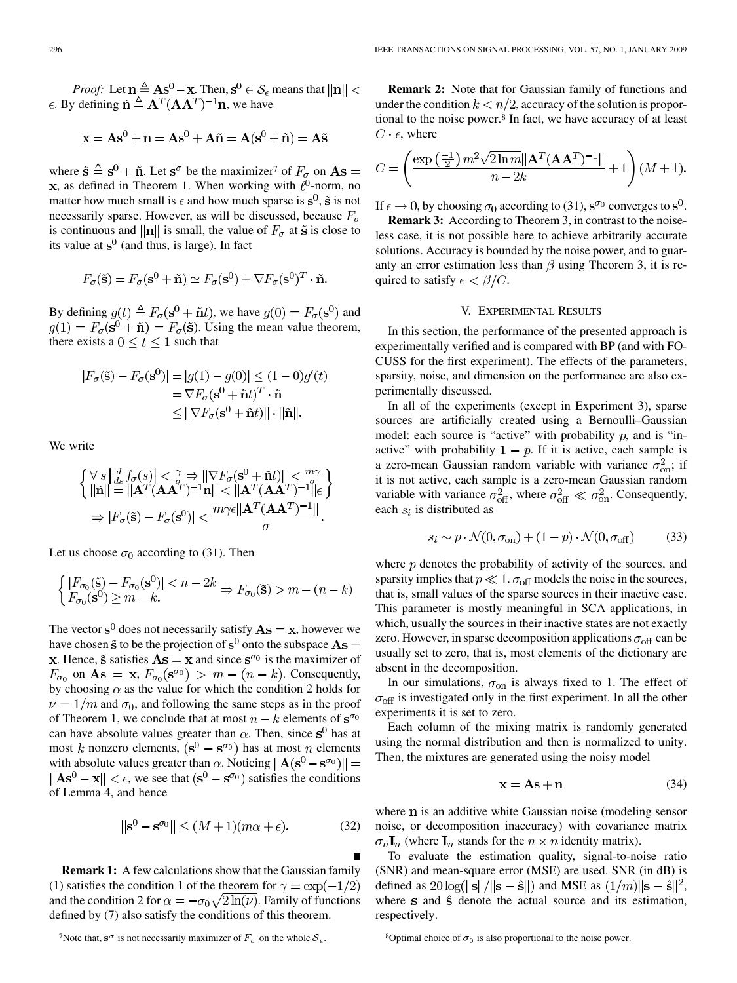*Proof:* Let  $\mathbf{n} \triangleq \mathbf{A} \mathbf{s}^0 - \mathbf{x}$ . Then,  $\mathbf{s}^0 \in \mathcal{S}_{\epsilon}$  means that  $||\mathbf{n}|| <$  $\epsilon$ . By defining  $\tilde{\mathbf{n}} \triangleq \mathbf{A}^T (\mathbf{A} \mathbf{A}^T)^{-1} \mathbf{n}$ , we have

$$
\mathbf{x} = \mathbf{A}\mathbf{s}^0 + \mathbf{n} = \mathbf{A}\mathbf{s}^0 + \mathbf{A}\tilde{\mathbf{n}} = \mathbf{A}(\mathbf{s}^0 + \tilde{\mathbf{n}}) = \mathbf{A}\tilde{\mathbf{s}}
$$

where  $\tilde{s} \triangleq s^0 + \tilde{n}$ . Let  $s^{\sigma}$  be the maximizer<sup>7</sup> of  $F_{\sigma}$  on  $As =$ **x**, as defined in Theorem 1. When working with  $\ell^0$ -norm, no matter how much small is  $\epsilon$  and how much sparse is  $s^0$ ,  $\tilde{s}$  is not necessarily sparse. However, as will be discussed, because  $F_{\sigma}$ is continuous and ||n|| is small, the value of  $F_{\sigma}$  at  $\tilde{s}$  is close to its value at  $s^0$  (and thus, is large). In fact

$$
F_{\sigma}(\tilde{\mathbf{s}}) = F_{\sigma}(\mathbf{s}^{0} + \tilde{\mathbf{n}}) \simeq F_{\sigma}(\mathbf{s}^{0}) + \nabla F_{\sigma}(\mathbf{s}^{0})^{T} \cdot \tilde{\mathbf{n}}.
$$

By defining  $g(t) \triangleq F_{\sigma}(\mathbf{s}^0 + \tilde{\mathbf{n}}t)$ , we have  $g(0) = F_{\sigma}(\mathbf{s}^0)$  and  $g(1) = F_{\sigma}(\mathbf{s}^0 + \tilde{\mathbf{n}}) = F_{\sigma}(\tilde{\mathbf{s}})$ . Using the mean value theorem, there exists a  $0 \le t \le 1$  such that

$$
|F_{\sigma}(\tilde{\mathbf{s}}) - F_{\sigma}(\mathbf{s}^{0})| = |g(1) - g(0)| \le (1 - 0)g'(t)
$$
  
=  $\nabla F_{\sigma}(\mathbf{s}^{0} + \tilde{\mathbf{n}}t)^{T} \cdot \tilde{\mathbf{n}}$   
 $\le ||\nabla F_{\sigma}(\mathbf{s}^{0} + \tilde{\mathbf{n}}t)|| \cdot ||\tilde{\mathbf{n}}||.$ 

We write

$$
\begin{aligned}\n\left\{\n\begin{array}{l}\n\forall s \left|\frac{d}{ds}f_{\sigma}(s)\right| < \frac{\gamma}{\sigma} \Rightarrow \|\nabla F_{\sigma}(\mathbf{s}^{0} + \tilde{\mathbf{n}}t)\| < \frac{m\gamma}{\sigma} \\
\|\tilde{\mathbf{n}}\| &= \|\mathbf{A}^{T}(\mathbf{A}\mathbf{A}^{T})^{-1}\mathbf{n}\| < \|\mathbf{A}^{T}(\mathbf{A}\mathbf{A}^{T})^{-1}\| \epsilon\n\end{array}\right\} \\
&\Rightarrow |F_{\sigma}(\tilde{\mathbf{s}}) - F_{\sigma}(\mathbf{s}^{0})| < \frac{m\gamma\epsilon \|\mathbf{A}^{T}(\mathbf{A}\mathbf{A}^{T})^{-1}\|}{\sigma}.\n\end{aligned}
$$

Let us choose  $\sigma_0$  according to (31). Then

$$
\begin{cases} |F_{\sigma_0}(\tilde{\mathbf{s}}) - F_{\sigma_0}(\mathbf{s}^0)| < n - 2k \Rightarrow F_{\sigma_0}(\tilde{\mathbf{s}}) > m - (n - k) \\\ F_{\sigma_0}(\mathbf{s}^0) \ge m - k. \end{cases}
$$

The vector  $s^0$  does not necessarily satisfy  $As = x$ , however we have chosen  $\tilde{s}$  to be the projection of  $s^0$  onto the subspace  $As =$ x. Hence,  $\tilde{s}$  satisfies  $\mathbf{A}s = \mathbf{x}$  and since  $\mathbf{s}^{\sigma_0}$  is the maximizer of  $F_{\sigma_0}$  on  $\mathbf{A}\mathbf{s} = \mathbf{x}, F_{\sigma_0}(\mathbf{s}^{\sigma_0}) > m - (n - k)$ . Consequently, by choosing  $\alpha$  as the value for which the condition 2 holds for  $\nu = 1/m$  and  $\sigma_0$ , and following the same steps as in the proof of Theorem 1, we conclude that at most  $n - k$  elements of  $s^{\sigma_0}$ can have absolute values greater than  $\alpha$ . Then, since s<sup>0</sup> has at most k nonzero elements,  $(s^0 - s^{\sigma_0})$  has at most n elements with absolute values greater than  $\alpha$ . Noticing  $||A(s^0 - s^{\sigma_0})|| =$  $\|\mathbf{As}^{0} - \mathbf{x}\| < \epsilon$ , we see that  $(\mathbf{s}^{0} - \mathbf{s}^{\sigma_0})$  satisfies the conditions of Lemma 4, and hence

$$
\|\mathbf{s}^0 - \mathbf{s}^{\sigma_0}\| \le (M+1)(m\alpha + \epsilon). \tag{32}
$$

**Remark 1:** A few calculations show that the Gaussian family (1) satisfies the condition 1 of the theorem for  $\gamma = \exp(-1/2)$ and the condition 2 for  $\alpha = -\sigma_0 \sqrt{2 \ln(\nu)}$ . Family of functions defined by (7) also satisfy the conditions of this theorem.

**Remark 2:** Note that for Gaussian family of functions and under the condition  $k < n/2$ , accuracy of the solution is proportional to the noise power.8 In fact, we have accuracy of at least  $C \cdot \epsilon$ , where

$$
C = \left(\frac{\exp\left(\frac{-1}{2}\right)m^2\sqrt{2\ln m}\|\mathbf{A}^T(\mathbf{A}\mathbf{A}^T)^{-1}\|}{n-2k} + 1\right)(M+1).
$$

If  $\epsilon \to 0$ , by choosing  $\sigma_0$  according to (31),  $s^{\sigma_0}$  converges to  $s^0$ .

**Remark 3:** According to Theorem 3, in contrast to the noiseless case, it is not possible here to achieve arbitrarily accurate solutions. Accuracy is bounded by the noise power, and to guaranty an error estimation less than  $\beta$  using Theorem 3, it is required to satisfy  $\epsilon < \beta/C$ .

## V. EXPERIMENTAL RESULTS

In this section, the performance of the presented approach is experimentally verified and is compared with BP (and with FO-CUSS for the first experiment). The effects of the parameters, sparsity, noise, and dimension on the performance are also experimentally discussed.

In all of the experiments (except in Experiment 3), sparse sources are artificially created using a Bernoulli–Gaussian model: each source is "active" with probability  $p$ , and is "inactive" with probability  $1 - p$ . If it is active, each sample is a zero-mean Gaussian random variable with variance  $\sigma_{on}^2$ ; if it is not active, each sample is a zero-mean Gaussian random variable with variance  $\sigma_{\text{off}}^2$ , where  $\sigma_{\text{off}}^2 \ll \sigma_{\text{on}}^2$ . Consequently, each  $s_i$  is distributed as

$$
s_i \sim p \cdot \mathcal{N}(0, \sigma_{\text{on}}) + (1 - p) \cdot \mathcal{N}(0, \sigma_{\text{off}})
$$
 (33)

where  $p$  denotes the probability of activity of the sources, and sparsity implies that  $p \ll 1$ .  $\sigma_{\text{off}}$  models the noise in the sources, that is, small values of the sparse sources in their inactive case. This parameter is mostly meaningful in SCA applications, in which, usually the sources in their inactive states are not exactly zero. However, in sparse decomposition applications  $\sigma_{\text{off}}$  can be usually set to zero, that is, most elements of the dictionary are absent in the decomposition.

In our simulations,  $\sigma_{\text{on}}$  is always fixed to 1. The effect of  $\sigma_{\text{off}}$  is investigated only in the first experiment. In all the other experiments it is set to zero.

Each column of the mixing matrix is randomly generated using the normal distribution and then is normalized to unity. Then, the mixtures are generated using the noisy model

$$
x = As + n \tag{34}
$$

where  $n$  is an additive white Gaussian noise (modeling sensor noise, or decomposition inaccuracy) with covariance matrix  $\sigma_n \mathbf{I}_n$  (where  $\mathbf{I}_n$  stands for the  $n \times n$  identity matrix).

To evaluate the estimation quality, signal-to-noise ratio (SNR) and mean-square error (MSE) are used. SNR (in dB) is defined as  $20\log(||\mathbf{s}||/||\mathbf{s} - \hat{\mathbf{s}}||)$  and MSE as  $(1/m)||\mathbf{s} - \hat{\mathbf{s}}||^2$ , where  $s$  and  $\hat{s}$  denote the actual source and its estimation, respectively.

<sup>8</sup>Optimal choice of  $\sigma_0$  is also proportional to the noise power.

<sup>&</sup>lt;sup>7</sup>Note that,  $s^{\sigma}$  is not necessarily maximizer of  $F_{\sigma}$  on the whole  $S_{\epsilon}$ .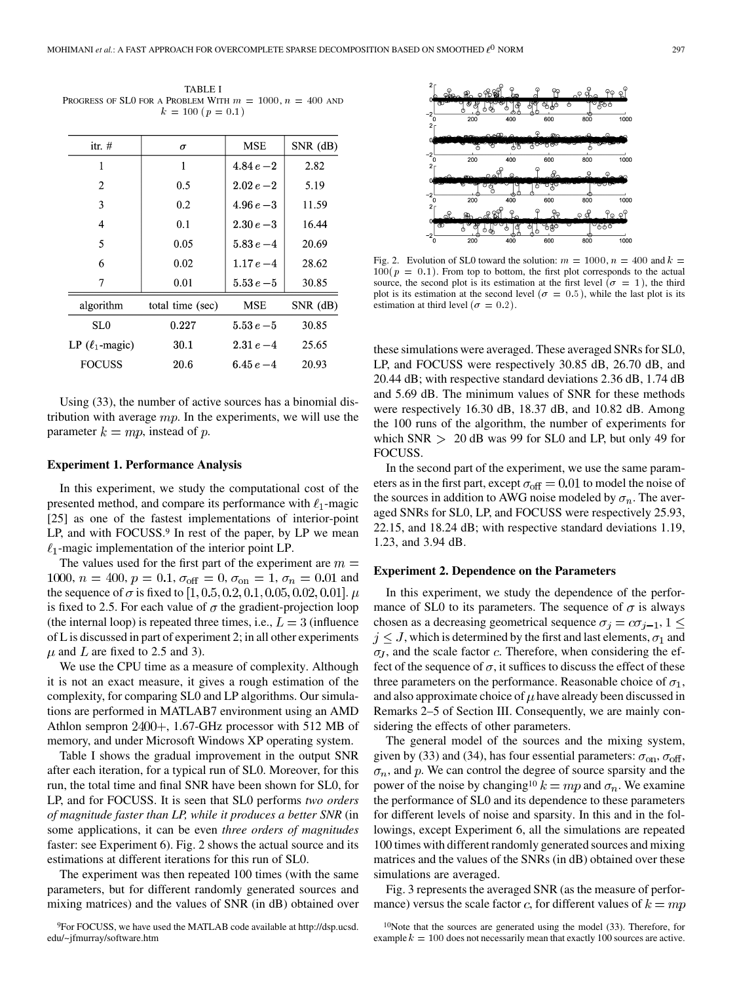TABLE I PROGRESS OF SLO FOR A PROBLEM WITH  $m = 1000, n = 400$  and  $k = 100 (p = 0.1)$ 

| itr. $#$             | σ                | <b>MSE</b>   | $SNR$ (dB)   |
|----------------------|------------------|--------------|--------------|
| 1                    | 1                | $4.84e - 2$  | 2.82         |
| 2                    | 0.5              | $2.02e - 2$  | 5.19         |
| 3                    | 0.2              | $4.96 e - 3$ | 11.59        |
| 4                    | 0.1              | $2.30 e - 3$ | 16.44        |
| 5                    | 0.05             | $5.83 e - 4$ | 20.69        |
| 6                    | 0.02             | $1.17e - 4$  | 28.62        |
| 7                    | 0.01             | $5.53e - 5$  | 30.85        |
| algorithm            | total time (sec) | MSE          | $SNR$ $(dB)$ |
| SL <sub>0</sub>      | 0.227            | $5.53e - 5$  | 30.85        |
| LP $(\ell_1$ -magic) | 30.1             | $2.31e-4$    | 25.65        |
| <b>FOCUSS</b>        | 20.6             | 6.45 $e-4$   | 20.93        |
|                      |                  |              |              |

Using (33), the number of active sources has a binomial distribution with average  $mp$ . In the experiments, we will use the parameter  $k = mp$ , instead of p.

# **Experiment 1. Performance Analysis**

In this experiment, we study the computational cost of the presented method, and compare its performance with  $\ell_1$ -magic [25] as one of the fastest implementations of interior-point LP, and with FOCUSS.<sup>9</sup> In rest of the paper, by LP we mean  $\ell_1$ -magic implementation of the interior point LP.

The values used for the first part of the experiment are  $m =$ 1000,  $n = 400$ ,  $p = 0.1$ ,  $\sigma_{\text{off}} = 0$ ,  $\sigma_{\text{on}} = 1$ ,  $\sigma_n = 0.01$  and the sequence of  $\sigma$  is fixed to [1, 0.5, 0.2, 0.1, 0.05, 0.02, 0.01].  $\mu$ is fixed to 2.5. For each value of  $\sigma$  the gradient-projection loop (the internal loop) is repeated three times, i.e.,  $L = 3$  (influence of L is discussed in part of experiment 2; in all other experiments  $\mu$  and  $\bar{L}$  are fixed to 2.5 and 3).

We use the CPU time as a measure of complexity. Although it is not an exact measure, it gives a rough estimation of the complexity, for comparing SL0 and LP algorithms. Our simulations are performed in MATLAB7 environment using an AMD Athlon sempron  $2400+$ , 1.67-GHz processor with 512 MB of memory, and under Microsoft Windows XP operating system.

Table I shows the gradual improvement in the output SNR after each iteration, for a typical run of SL0. Moreover, for this run, the total time and final SNR have been shown for SL0, for LP, and for FOCUSS. It is seen that SL0 performs *two orders of magnitude faster than LP, while it produces a better SNR* (in some applications, it can be even *three orders of magnitudes* faster: see Experiment 6). Fig. 2 shows the actual source and its estimations at different iterations for this run of SL0.

The experiment was then repeated 100 times (with the same parameters, but for different randomly generated sources and mixing matrices) and the values of SNR (in dB) obtained over



Fig. 2. Evolution of SL0 toward the solution:  $m = 1000$ ,  $n = 400$  and  $k =$  $100(p = 0.1)$ . From top to bottom, the first plot corresponds to the actual source, the second plot is its estimation at the first level  $(\sigma = 1)$ , the third plot is its estimation at the second level ( $\sigma = 0.5$ ), while the last plot is its estimation at third level ( $\sigma = 0.2$ ).

these simulations were averaged. These averaged SNRs for SL0, LP, and FOCUSS were respectively 30.85 dB, 26.70 dB, and 20.44 dB; with respective standard deviations 2.36 dB, 1.74 dB and 5.69 dB. The minimum values of SNR for these methods were respectively 16.30 dB, 18.37 dB, and 10.82 dB. Among the 100 runs of the algorithm, the number of experiments for which  $SNR > 20$  dB was 99 for SL0 and LP, but only 49 for FOCUSS.

In the second part of the experiment, we use the same parameters as in the first part, except  $\sigma_{\text{off}} = 0.01$  to model the noise of the sources in addition to AWG noise modeled by  $\sigma_n$ . The averaged SNRs for SL0, LP, and FOCUSS were respectively 25.93, 22.15, and 18.24 dB; with respective standard deviations 1.19, 1.23, and 3.94 dB.

## **Experiment 2. Dependence on the Parameters**

In this experiment, we study the dependence of the performance of SL0 to its parameters. The sequence of  $\sigma$  is always chosen as a decreasing geometrical sequence  $\sigma_j = c\sigma_{j-1}, 1 \leq j$  $j \leq J$ , which is determined by the first and last elements,  $\sigma_1$  and  $\sigma_J$ , and the scale factor c. Therefore, when considering the effect of the sequence of  $\sigma$ , it suffices to discuss the effect of these three parameters on the performance. Reasonable choice of  $\sigma_1$ , and also approximate choice of  $\mu$  have already been discussed in Remarks 2–5 of Section III. Consequently, we are mainly considering the effects of other parameters.

The general model of the sources and the mixing system, given by (33) and (34), has four essential parameters:  $\sigma_{\text{on}}$ ,  $\sigma_{\text{off}}$ ,  $\sigma_n$ , and p. We can control the degree of source sparsity and the power of the noise by changing<sup>10</sup>  $k = mp$  and  $\sigma_n$ . We examine the performance of SL0 and its dependence to these parameters for different levels of noise and sparsity. In this and in the followings, except Experiment 6, all the simulations are repeated 100 times with different randomly generated sources and mixing matrices and the values of the SNRs (in dB) obtained over these simulations are averaged.

Fig. 3 represents the averaged SNR (as the measure of performance) versus the scale factor c, for different values of  $k = mp$ 

<sup>9</sup>For FOCUSS, we have used the MATLAB code available at http://dsp.ucsd. edu/~jfmurray/software.htm

<sup>10</sup>Note that the sources are generated using the model (33). Therefore, for example  $k = 100$  does not necessarily mean that exactly 100 sources are active.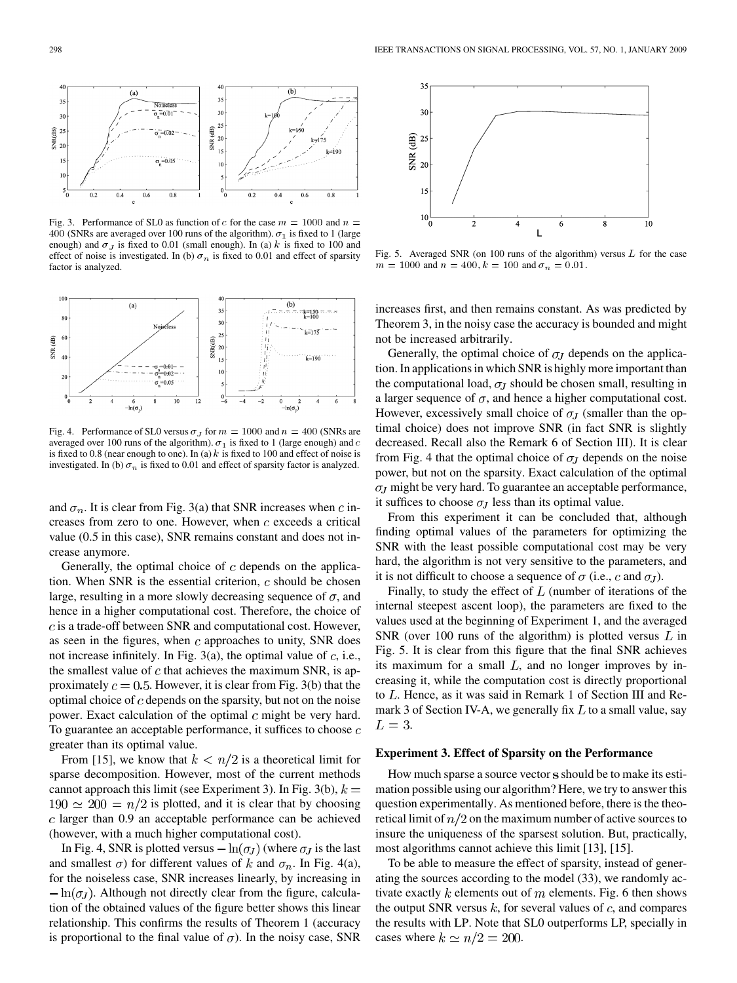

Fig. 3. Performance of SL0 as function of c for the case  $m = 1000$  and  $n =$ 400 (SNRs are averaged over 100 runs of the algorithm).  $\sigma_1$  is fixed to 1 (large enough) and  $\sigma_J$  is fixed to 0.01 (small enough). In (a) k is fixed to 100 and effect of noise is investigated. In (b)  $\sigma_n$  is fixed to 0.01 and effect of sparsity factor is analyzed.



Fig. 4. Performance of SL0 versus  $\sigma_J$  for  $m = 1000$  and  $n = 400$  (SNRs are averaged over 100 runs of the algorithm).  $\sigma_1$  is fixed to 1 (large enough) and  $c$ is fixed to 0.8 (near enough to one). In (a)  $k$  is fixed to 100 and effect of noise is investigated. In (b)  $\sigma_n$  is fixed to 0.01 and effect of sparsity factor is analyzed.

and  $\sigma_n$ . It is clear from Fig. 3(a) that SNR increases when c increases from zero to one. However, when  $c$  exceeds a critical value (0.5 in this case), SNR remains constant and does not increase anymore.

Generally, the optimal choice of  $c$  depends on the application. When SNR is the essential criterion,  $c$  should be chosen large, resulting in a more slowly decreasing sequence of  $\sigma$ , and hence in a higher computational cost. Therefore, the choice of  $c$  is a trade-off between SNR and computational cost. However, as seen in the figures, when  $c$  approaches to unity, SNR does not increase infinitely. In Fig. 3(a), the optimal value of  $c$ , i.e., the smallest value of  $c$  that achieves the maximum SNR, is approximately  $c = 0.5$ . However, it is clear from Fig. 3(b) that the optimal choice of  $c$  depends on the sparsity, but not on the noise power. Exact calculation of the optimal  $c$  might be very hard. To guarantee an acceptable performance, it suffices to choose  $c$ greater than its optimal value.

From [15], we know that  $k < n/2$  is a theoretical limit for sparse decomposition. However, most of the current methods cannot approach this limit (see Experiment 3). In Fig. 3(b),  $k =$  $190 \simeq 200 = n/2$  is plotted, and it is clear that by choosing  $c$  larger than 0.9 an acceptable performance can be achieved (however, with a much higher computational cost).

In Fig. 4, SNR is plotted versus  $-\ln(\sigma_J)$  (where  $\sigma_J$  is the last and smallest  $\sigma$ ) for different values of k and  $\sigma_n$ . In Fig. 4(a), for the noiseless case, SNR increases linearly, by increasing in  $-\ln(\sigma_J)$ . Although not directly clear from the figure, calculation of the obtained values of the figure better shows this linear relationship. This confirms the results of Theorem 1 (accuracy is proportional to the final value of  $\sigma$ ). In the noisy case, SNR



Fig. 5. Averaged SNR (on 100 runs of the algorithm) versus  $L$  for the case  $m = 1000$  and  $n = 400$ ,  $k = 100$  and  $\sigma_n = 0.01$ .

increases first, and then remains constant. As was predicted by Theorem 3, in the noisy case the accuracy is bounded and might not be increased arbitrarily.

Generally, the optimal choice of  $\sigma$  depends on the application. In applications in which SNR is highly more important than the computational load,  $\sigma_J$  should be chosen small, resulting in a larger sequence of  $\sigma$ , and hence a higher computational cost. However, excessively small choice of  $\sigma$ <sub>*I*</sub> (smaller than the optimal choice) does not improve SNR (in fact SNR is slightly decreased. Recall also the Remark 6 of Section III). It is clear from Fig. 4 that the optimal choice of  $\sigma_J$  depends on the noise power, but not on the sparsity. Exact calculation of the optimal  $\sigma$ <sub>*I*</sub> might be very hard. To guarantee an acceptable performance, it suffices to choose  $\sigma_J$  less than its optimal value.

From this experiment it can be concluded that, although finding optimal values of the parameters for optimizing the SNR with the least possible computational cost may be very hard, the algorithm is not very sensitive to the parameters, and it is not difficult to choose a sequence of  $\sigma$  (i.e., c and  $\sigma_I$ ).

Finally, to study the effect of  $L$  (number of iterations of the internal steepest ascent loop), the parameters are fixed to the values used at the beginning of Experiment 1, and the averaged SNR (over 100 runs of the algorithm) is plotted versus  $L$  in Fig. 5. It is clear from this figure that the final SNR achieves its maximum for a small  $L$ , and no longer improves by increasing it, while the computation cost is directly proportional to  $L$ . Hence, as it was said in Remark 1 of Section III and Remark 3 of Section IV-A, we generally fix  $L$  to a small value, say  $L=3$ .

#### **Experiment 3. Effect of Sparsity on the Performance**

How much sparse a source vector s should be to make its esti-mation possible using our algorithm? Here, we try to answer this question experimentally. As mentioned before, there is the theoretical limit of  $n/2$  on the maximum number of active sources to insure the uniqueness of the sparsest solution. But, practically, most algorithms cannot achieve this limit [13], [15].

To be able to measure the effect of sparsity, instead of generating the sources according to the model (33), we randomly activate exactly  $k$  elements out of  $m$  elements. Fig. 6 then shows the output SNR versus  $k$ , for several values of  $c$ , and compares the results with LP. Note that SL0 outperforms LP, specially in cases where  $k \simeq n/2 = 200$ .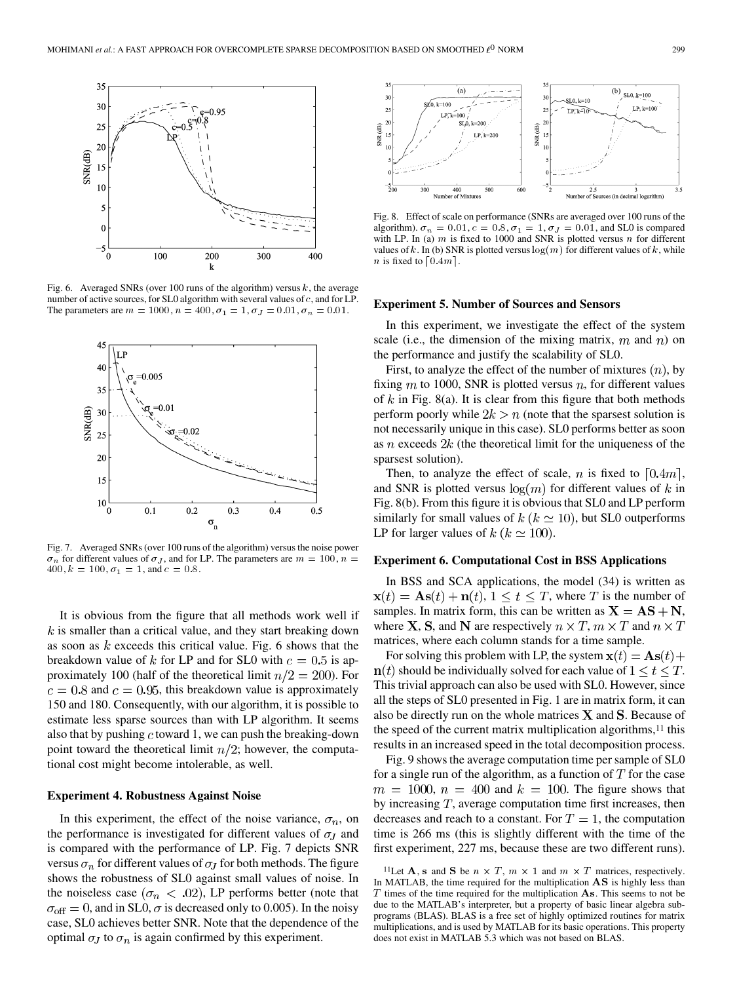

Fig. 6. Averaged SNRs (over 100 runs of the algorithm) versus  $k$ , the average number of active sources, for SL0 algorithm with several values of  $c$ , and for LP. The parameters are  $m = 1000, n = 400, \sigma_1 = 1, \sigma_J = 0.01, \sigma_n = 0.01$ .



Fig. 7. Averaged SNRs (over 100 runs of the algorithm) versus the noise power  $\sigma_n$  for different values of  $\sigma_j$ , and for LP. The parameters are  $m = 100, n =$  $400, k = 100, \sigma_1 = 1, \text{ and } c = 0.8.$ 

It is obvious from the figure that all methods work well if  $k$  is smaller than a critical value, and they start breaking down as soon as  $k$  exceeds this critical value. Fig. 6 shows that the breakdown value of k for LP and for SL0 with  $c = 0.5$  is approximately 100 (half of the theoretical limit  $n/2 = 200$ ). For  $c = 0.8$  and  $c = 0.95$ , this breakdown value is approximately 150 and 180. Consequently, with our algorithm, it is possible to estimate less sparse sources than with LP algorithm. It seems also that by pushing  $c$  toward 1, we can push the breaking-down point toward the theoretical limit  $n/2$ ; however, the computational cost might become intolerable, as well.

## **Experiment 4. Robustness Against Noise**

In this experiment, the effect of the noise variance,  $\sigma_n$ , on the performance is investigated for different values of  $\sigma_J$  and is compared with the performance of LP. Fig. 7 depicts SNR versus  $\sigma_n$  for different values of  $\sigma_j$  for both methods. The figure shows the robustness of SL0 against small values of noise. In the noiseless case ( $\sigma_n < .02$ ), LP performs better (note that  $\sigma_{\text{off}} = 0$ , and in SL0,  $\sigma$  is decreased only to 0.005). In the noisy case, SL0 achieves better SNR. Note that the dependence of the optimal  $\sigma_J$  to  $\sigma_n$  is again confirmed by this experiment.



Fig. 8. Effect of scale on performance (SNRs are averaged over 100 runs of the algorithm).  $\sigma_n = 0.01$ ,  $c = 0.8$ ,  $\sigma_1 = 1$ ,  $\sigma_J = 0.01$ , and SL0 is compared with LP. In (a)  $m$  is fixed to 1000 and SNR is plotted versus  $n$  for different values of k. In (b) SNR is plotted versus  $log(m)$  for different values of k, while *n* is fixed to  $\lceil 0.4m \rceil$ .

#### **Experiment 5. Number of Sources and Sensors**

In this experiment, we investigate the effect of the system scale (i.e., the dimension of the mixing matrix,  $m$  and  $n$ ) on the performance and justify the scalability of SL0.

First, to analyze the effect of the number of mixtures  $(n)$ , by fixing  $m$  to 1000, SNR is plotted versus  $n$ , for different values of  $k$  in Fig. 8(a). It is clear from this figure that both methods perform poorly while  $2k > n$  (note that the sparsest solution is not necessarily unique in this case). SL0 performs better as soon as  $n$  exceeds  $2k$  (the theoretical limit for the uniqueness of the sparsest solution).

Then, to analyze the effect of scale, n is fixed to  $[0.4m]$ , and SNR is plotted versus  $log(m)$  for different values of k in Fig. 8(b). From this figure it is obvious that SL0 and LP perform similarly for small values of  $k$  ( $k \approx 10$ ), but SL0 outperforms LP for larger values of  $k (k \simeq 100)$ .

## **Experiment 6. Computational Cost in BSS Applications**

In BSS and SCA applications, the model (34) is written as  $\mathbf{x}(t) = \mathbf{A}\mathbf{s}(t) + \mathbf{n}(t), 1 \le t \le T$ , where T is the number of samples. In matrix form, this can be written as  $X = AS + N$ , where **X**, **S**, and **N** are respectively  $n \times T$ ,  $m \times T$  and  $n \times T$ matrices, where each column stands for a time sample.

For solving this problem with LP, the system  $\mathbf{x}(t) = \mathbf{A}\mathbf{s}(t) +$  $n(t)$  should be individually solved for each value of  $1 \le t \le T$ . This trivial approach can also be used with SL0. However, since all the steps of SL0 presented in Fig. 1 are in matrix form, it can also be directly run on the whole matrices  $X$  and  $S$ . Because of the speed of the current matrix multiplication algorithms, $11$  this results in an increased speed in the total decomposition process.

Fig. 9 shows the average computation time per sample of SL0 for a single run of the algorithm, as a function of  $T$  for the case  $m = 1000$ ,  $n = 400$  and  $k = 100$ . The figure shows that by increasing  $T$ , average computation time first increases, then decreases and reach to a constant. For  $T = 1$ , the computation time is 266 ms (this is slightly different with the time of the first experiment, 227 ms, because these are two different runs).

<sup>&</sup>lt;sup>11</sup>Let **A**, **s** and **S** be  $n \times T$ ,  $m \times 1$  and  $m \times T$  matrices, respectively. In MATLAB, the time required for the multiplication  $\overline{AS}$  is highly less than  $T$  times of the time required for the multiplication  $As$ . This seems to not be due to the MATLAB's interpreter, but a property of basic linear algebra subprograms (BLAS). BLAS is a free set of highly optimized routines for matrix multiplications, and is used by MATLAB for its basic operations. This property does not exist in MATLAB 5.3 which was not based on BLAS.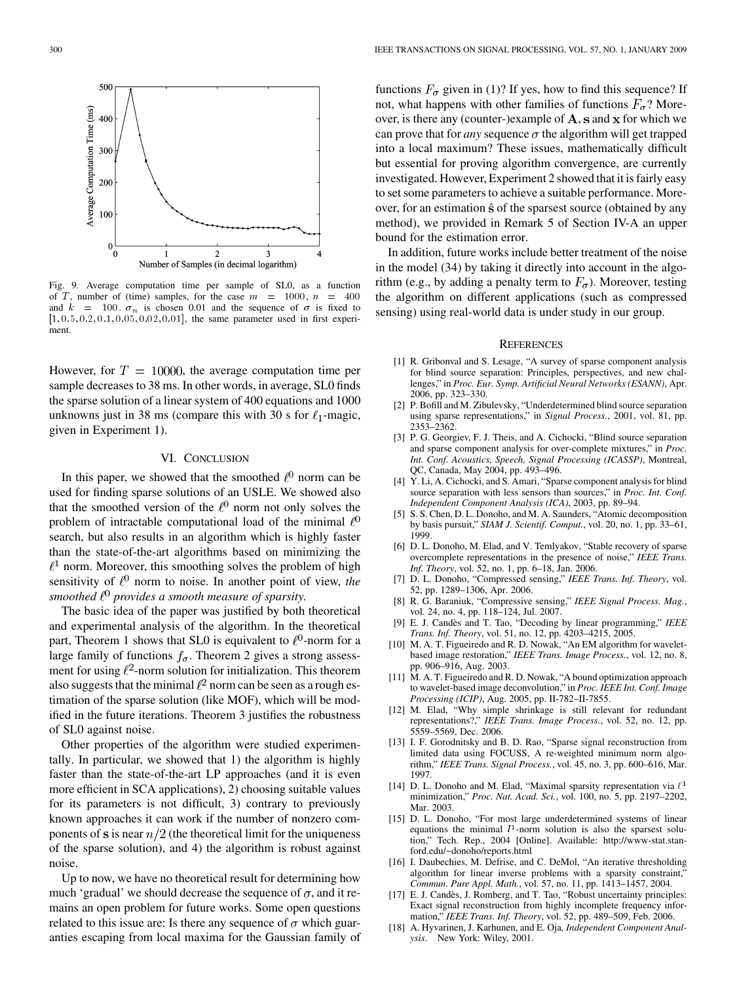

Fig. 9. Average computation time per sample of SL0, as a function of T, number of (time) samples, for the case  $m = 1000$ ,  $n = 400$ and  $k = 100$ .  $\sigma_n$  is chosen 0.01 and the sequence of  $\sigma$  is fixed to  $[1, 0.5, 0.2, 0.1, 0.05, 0.02, 0.01]$ , the same parameter used in first experiment.

However, for  $T = 10000$ , the average computation time per sample decreases to 38 ms. In other words, in average, SL0 finds the sparse solution of a linear system of 400 equations and 1000 unknowns just in 38 ms (compare this with 30 s for  $\ell_1$ -magic, given in Experiment 1).

## VI. CONCLUSION

In this paper, we showed that the smoothed  $\ell^0$  norm can be used for finding sparse solutions of an USLE. We showed also that the smoothed version of the  $\ell^0$  norm not only solves the problem of intractable computational load of the minimal  $\ell^0$ search, but also results in an algorithm which is highly faster than the state-of-the-art algorithms based on minimizing the  $l<sup>1</sup>$  norm. Moreover, this smoothing solves the problem of high sensitivity of  $\ell^0$  norm to noise. In another point of view, *the smoothed provides a smooth measure of sparsity.*

The basic idea of the paper was justified by both theoretical and experimental analysis of the algorithm. In the theoretical part, Theorem 1 shows that SL0 is equivalent to  $\ell^0$ -norm for a large family of functions  $f_{\sigma}$ . Theorem 2 gives a strong assessment for using  $\ell^2$ -norm solution for initialization. This theorem also suggests that the minimal  $l^2$  norm can be seen as a rough estimation of the sparse solution (like MOF), which will be modified in the future iterations. Theorem 3 justifies the robustness of SL0 against noise.

Other properties of the algorithm were studied experimentally. In particular, we showed that 1) the algorithm is highly faster than the state-of-the-art LP approaches (and it is even more efficient in SCA applications), 2) choosing suitable values for its parameters is not difficult, 3) contrary to previously known approaches it can work if the number of nonzero components of s is near  $n/2$  (the theoretical limit for the uniqueness of the sparse solution), and 4) the algorithm is robust against noise.

Up to now, we have no theoretical result for determining how much 'gradual' we should decrease the sequence of  $\sigma$ , and it remains an open problem for future works. Some open questions related to this issue are: Is there any sequence of  $\sigma$  which guaranties escaping from local maxima for the Gaussian family of functions  $F_{\sigma}$  given in (1)? If yes, how to find this sequence? If not, what happens with other families of functions  $F_{\sigma}$ ? Moreover, is there any (counter-)example of  $A$ ,  $S$  and  $X$  for which we can prove that for *any* sequence  $\sigma$  the algorithm will get trapped into a local maximum? These issues, mathematically difficult but essential for proving algorithm convergence, are currently investigated. However, Experiment 2 showed that it is fairly easy to set some parameters to achieve a suitable performance. Moreover, for an estimation  $\hat{s}$  of the sparsest source (obtained by any method), we provided in Remark 5 of Section IV-A an upper bound for the estimation error.

In addition, future works include better treatment of the noise in the model (34) by taking it directly into account in the algorithm (e.g., by adding a penalty term to  $F_{\sigma}$ ). Moreover, testing the algorithm on different applications (such as compressed sensing) using real-world data is under study in our group.

#### **REFERENCES**

- [1] R. Gribonval and S. Lesage, "A survey of sparse component analysis for blind source separation: Principles, perspectives, and new challenges," in *Proc. Eur. Symp. Artificial Neural Networks (ESANN)*, Apr. 2006, pp. 323–330.
- [2] P. Bofill and M. Zibulevsky, "Underdetermined blind source separation using sparse representations," in *Signal Process.*, 2001, vol. 81, pp. 2353–2362.
- [3] P. G. Georgiev, F. J. Theis, and A. Cichocki, "Blind source separation and sparse component analysis for over-complete mixtures," in *Proc. Int. Conf. Acoustics, Speech, Signal Processing (ICASSP)*, Montreal, QC, Canada, May 2004, pp. 493–496.
- [4] Y. Li, A. Cichocki, and S. Amari, "Sparse component analysis for blind source separation with less sensors than sources," in *Proc. Int. Conf. Independent Component Analysis (ICA)*, 2003, pp. 89–94.
- [5] S. S. Chen, D. L. Donoho, and M. A. Saunders, "Atomic decomposition by basis pursuit," *SIAM J. Scientif. Comput.*, vol. 20, no. 1, pp. 33–61, 1999.
- [6] D. L. Donoho, M. Elad, and V. Temlyakov, "Stable recovery of sparse overcomplete representations in the presence of noise," *IEEE Trans. Inf. Theory*, vol. 52, no. 1, pp. 6–18, Jan. 2006.
- [7] D. L. Donoho, "Compressed sensing," *IEEE Trans. Inf. Theory*, vol. 52, pp. 1289–1306, Apr. 2006.
- [8] R. G. Baraniuk, "Compressive sensing," *IEEE Signal Process. Mag.*, vol. 24, no. 4, pp. 118–124, Jul. 2007.
- [9] E. J. Candès and T. Tao, "Decoding by linear programming," *IEEE Trans. Inf. Theory*, vol. 51, no. 12, pp. 4203–4215, 2005.
- [10] M. A. T. Figueiredo and R. D. Nowak, "An EM algorithm for waveletbased image restoration," *IEEE Trans. Image Process.*, vol. 12, no. 8, pp. 906–916, Aug. 2003.
- [11] M. A. T. Figueiredo and R. D. Nowak, "A bound optimization approach to wavelet-based image deconvolution," in *Proc. IEEE Int. Conf. Image Processing (ICIP)*, Aug. 2005, pp. II-782–II-7855.
- [12] M. Elad, "Why simple shrinkage is still relevant for redundant representations?," *IEEE Trans. Image Process.*, vol. 52, no. 12, pp. 5559–5569, Dec. 2006.
- [13] I. F. Gorodnitsky and B. D. Rao, "Sparse signal reconstruction from limited data using FOCUSS, A re-weighted minimum norm algorithm," *IEEE Trans. Signal Process.*, vol. 45, no. 3, pp. 600–616, Mar. 1997.
- [14] D. L. Donoho and M. Elad, "Maximal sparsity representation via  $\ell^1$ minimization," *Proc. Nat. Acad. Sci.*, vol. 100, no. 5, pp. 2197–2202, Mar. 2003.
- [15] D. L. Donoho, "For most large underdetermined systems of linear equations the minimal  $l<sup>1</sup>$ -norm solution is also the sparsest solution," Tech. Rep., 2004 [Online]. Available: http://www-stat.stanford.edu/~donoho/reports.html
- [16] I. Daubechies, M. Defrise, and C. DeMol, "An iterative thresholding algorithm for linear inverse problems with a sparsity constraint, *Commun. Pure Appl. Math.*, vol. 57, no. 11, pp. 1413–1457, 2004.
- [17] E. J. Candès, J. Romberg, and T. Tao, "Robust uncertainty principles: Exact signal reconstruction from highly incomplete frequency information," *IEEE Trans. Inf. Theory*, vol. 52, pp. 489–509, Feb. 2006.
- [18] A. Hyvarinen, J. Karhunen, and E. Oja*, Independent Component Analysis*. New York: Wiley, 2001.